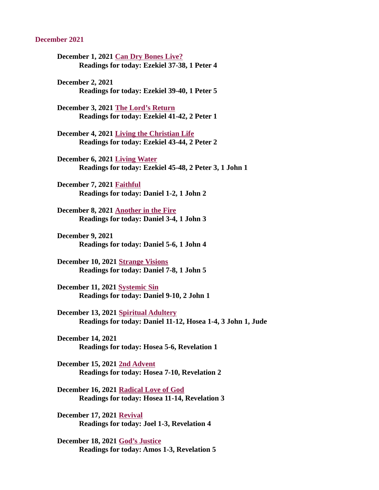#### December 2021

- December 1, 2021 Can Dry Bones Live? [Readings for today: Ezekiel 37-38, 1 Peter 4](#page-2-0)
- December 2, 2021 Readings for today[: Ezekiel 39-40, 1 Peter 5](https://www.biblegateway.com/passage/?search=Ezekiel+39-40%2C+1+Peter+5&version=ESV)

December 3, 2021 The Lord's Return [Readings for today: Ezekiel 41-42, 2 Peter 1](#page-4-0)

December 4, 2021 Living the Christian Life [Readings for today: Ezekiel 43-44, 2 Peter 2](#page-6-0)

December 6, 2021 Living Water [Readings for today: Ezekiel 45-48, 2 Peter 3, 1 John 1](#page-8-0)

December 7, 2021 Faithful [Readings for today: Daniel 1-2, 1 John 2](#page-9-0)

December 8, 2021 Another in the Fire [Readings for today: Daniel 3-4, 1 John 3](#page-11-0)

- December 9, 2021 Readings for today[: Daniel 5-6, 1 John 4](https://www.biblegateway.com/passage/?search=Daniel+5-6%2C+1+John+4&version=ESV)
- December 10, 2021 Strange Visions [Readings for today: Daniel 7-8, 1 John 5](#page-13-0)

December 11, 2021 Systemic Sin [Readings for today: Daniel 9-10, 2 John 1](#page-15-0)

December 13, 2021 Spiritual Adultery [Readings for today: Daniel 11-12, Hosea 1-4, 3 John 1, Jude](#page-17-0)

December 14, 2021 Readings for today: [Hosea 5-6, Revelation 1](https://www.biblegateway.com/passage/?search=Hosea+5-6%2C+Revelation+1&version=ESV)

December 15, 2021 2nd Advent [Readings for today: Hosea 7-10, Revelation 2](#page-19-0)

December 16, 2021 Radical Love of God [Readings for today: Hosea 11-14, Revelation 3](#page-20-0)

December 17, 2021 Revival [Readings for today: Joel 1-3, Revelation 4](#page-21-0)

December 18, 2021 God's Justice [Readings for today: Amos 1-3, Revelation 5](#page-23-0)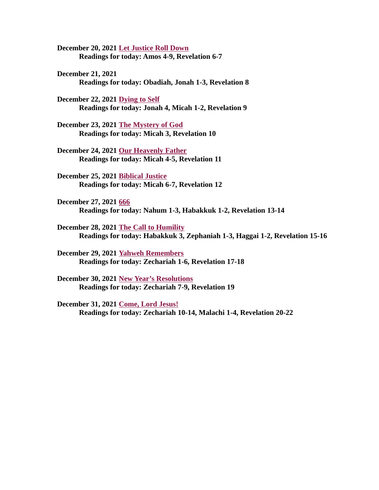December 20, 2021 Let Justice Roll Down [Readings for today: Amos 4-9, Revelation 6-7](#page-25-0)

December 21, 2021 Readings for today: [Obadiah, Jonah 1-3, Revelation 8](https://www.biblegateway.com/passage/?search=Obadiah%2C+Jonah+1-3%2C+Revelation+8&version=ESV)

December 22, 2021 Dying to Self [Readings for today: Jonah 4, Micah 1-2, Revelation 9](#page-27-0)

December 23, 2021 The Mystery of God [Readings for today: Micah 3, Revelation 10](#page-29-0)

December 24, 2021 Our Heavenly Father [Readings for today: Micah 4-5, Revelation 11](#page-30-0)

December 25, 2021 Biblical Justice [Readings for today: Micah 6-7, Revelation 12](#page-32-0)

December 27, 2021 666 [Readings for today: Nahum 1-3, Habakkuk 1-2, Revelation 13-14](#page-34-0)

December 28, 2021 The Call to Humility [Readings for today: Habakkuk 3, Zephaniah 1-3, Haggai 1-2, Revelation 15-16](#page-35-0)

December 29, 2021 Yahweh Remembers [Readings for today: Zechariah 1-6, Revelation 17-18](#page-37-0)

December 30, 2021 New Year's Resolutions [Readings for today: Zechariah 7-9, Revelation 19](#page-39-0)

December 31, 2021 Come, Lord Jesus! [Readings for today: Zechariah 10-14, Malachi 1-4, Revelation 20-22](#page-41-0)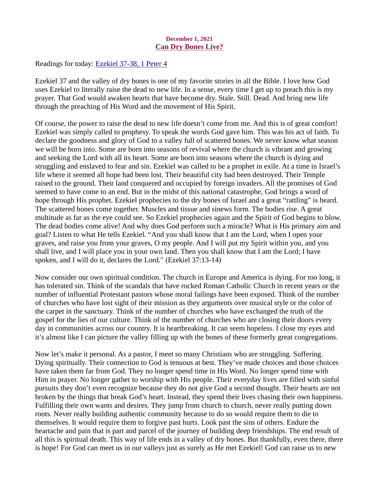## December 1, 2021 Can Dry Bones Live?

<span id="page-2-0"></span>Readings for today: [Ezekiel 37-38, 1 Peter 4](https://www.biblegateway.com/passage/?search=Ezekiel+37-38%2C+1+Peter+4&version=ESV)

Ezekiel 37 and the valley of dry bones is one of my favorite stories in all the Bible. I love how God uses Ezekiel to literally raise the dead to new life. In a sense, every time I get up to preach this is my prayer. That God would awaken hearts that have become dry. Stale. Still. Dead. And bring new life through the preaching of His Word and the movement of His Spirit.

Of course, the power to raise the dead to new life doesn't come from me. And this is of great comfort! Ezekiel was simply called to prophesy. To speak the words God gave him. This was his act of faith. To declare the goodness and glory of God to a valley full of scattered bones. We never know what season we will be born into. Some are born into seasons of revival where the church is vibrant and growing and seeking the Lord with all its heart. Some are born into seasons where the church is dying and struggling and enslaved to fear and sin. Ezekiel was called to be a prophet in exile. At a time in Israel's life where it seemed all hope had been lost. Their beautiful city had been destroyed. Their Temple raised to the ground. Their land conquered and occupied by foreign invaders. All the promises of God seemed to have come to an end. But in the midst of this national catastrophe, God brings a word of hope through His prophet. Ezekiel prophecies to the dry bones of Israel and a great "rattling" is heard. The scattered bones come together. Muscles and tissue and sinews form. The bodies rise. A great multitude as far as the eye could see. So Ezekiel prophecies again and the Spirit of God begins to blow. The dead bodies come alive! And why does God perform such a miracle? What is His primary aim and goal? Listen to what He tells Ezekiel. "And you shall know that I am the Lord, when I open your graves, and raise you from your graves, O my people. And I will put my Spirit within you, and you shall live, and I will place you in your own land. Then you shall know that I am the Lord; I have spoken, and I will do it, declares the Lord." (Ezekiel 37:13-14)

Now consider our own spiritual condition. The church in Europe and America is dying. For too long, it has tolerated sin. Think of the scandals that have rocked Roman Catholic Church in recent years or the number of influential Protestant pastors whose moral failings have been exposed. Think of the number of churches who have lost sight of their mission as they arguments over musical style or the color of the carpet in the sanctuary. Think of the number of churches who have exchanged the truth of the gospel for the lies of our culture. Think of the number of churches who are closing their doors every day in communities across our country. It is heartbreaking. It can seem hopeless. I close my eyes and it's almost like I can picture the valley filling up with the bones of these formerly great congregations.

Now let's make it personal. As a pastor, I meet so many Christians who are struggling. Suffering. Dying spiritually. Their connection to God is tenuous at best. They've made choices and those choices have taken them far from God. They no longer spend time in His Word. No longer spend time with Him in prayer. No longer gather to worship with His people. Their everyday lives are filled with sinful pursuits they don't even recognize because they do not give God a second thought. Their hearts are not broken by the things that break God's heart. Instead, they spend their lives chasing their own happiness. Fulfilling their own wants and desires. They jump from church to church, never really putting down roots. Never really building authentic community because to do so would require them to die to themselves. It would require them to forgive past hurts. Look past the sins of others. Endure the heartache and pain that is part and parcel of the journey of building deep friendships. The end result of all this is spiritual death. This way of life ends in a valley of dry bones. But thankfully, even there, there is hope! For God can meet us in our valleys just as surely as He met Ezekiel! God can raise us to new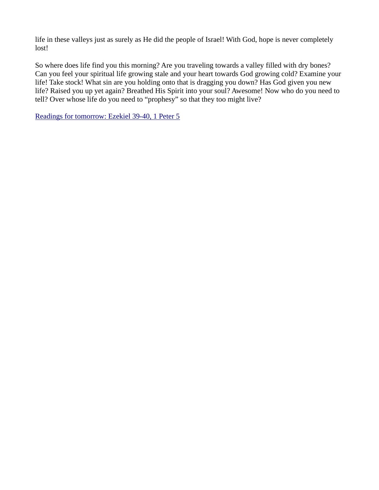life in these valleys just as surely as He did the people of Israel! With God, hope is never completely lost!

So where does life find you this morning? Are you traveling towards a valley filled with dry bones? Can you feel your spiritual life growing stale and your heart towards God growing cold? Examine your life! Take stock! What sin are you holding onto that is dragging you down? Has God given you new life? Raised you up yet again? Breathed His Spirit into your soul? Awesome! Now who do you need to tell? Over whose life do you need to "prophesy" so that they too might live?

[Readings for tomorrow: Ezekiel 39-40, 1 Peter 5](https://www.biblegateway.com/passage/?search=Ezekiel+39-40%2C+1+Peter+5&version=ESV)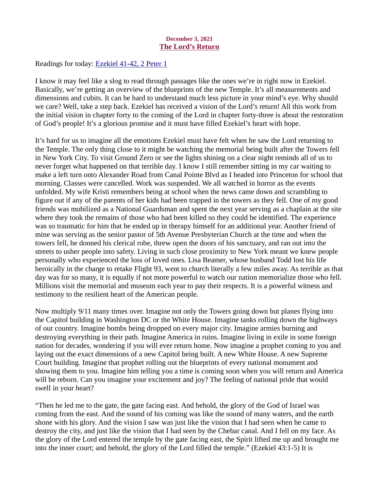## December 3, 2021 The Lord's Return

<span id="page-4-0"></span>Readings for today: **Ezekiel 41-42**, 2 Peter 1

I know it may feel like a slog to read through passages like the ones we're in right now in Ezekiel. Basically, we're getting an overview of the blueprints of the new Temple. It's all measurements and dimensions and cubits. It can be hard to understand much less picture in your mind's eye. Why should we care? Well, take a step back. Ezekiel has received a vision of the Lord's return! All this work from the initial vision in chapter forty to the coming of the Lord in chapter forty-three is about the restoration of God's people! It's a glorious promise and it must have filled Ezekiel's heart with hope.

It's hard for us to imagine all the emotions Ezekiel must have felt when he saw the Lord returning to the Temple. The only thing close to it might be watching the memorial being built after the Towers fell in New York City. To visit Ground Zero or see the lights shining on a clear night reminds all of us to never forget what happened on that terrible day. I know I still remember sitting in my car waiting to make a left turn onto Alexander Road from Canal Pointe Blvd as I headed into Princeton for school that morning. Classes were cancelled. Work was suspended. We all watched in horror as the events unfolded. My wife Kristi remembers being at school when the news came down and scrambling to figure out if any of the parents of her kids had been trapped in the towers as they fell. One of my good friends was mobilized as a National Guardsman and spent the next year serving as a chaplain at the site where they took the remains of those who had been killed so they could be identified. The experience was so traumatic for him that he ended up in therapy himself for an additional year. Another friend of mine was serving as the senior pastor of 5th Avenue Presbyterian Church at the time and when the towers fell, he donned his clerical robe, threw open the doors of his sanctuary, and ran out into the streets to usher people into safety. Living in such close proximity to New York meant we knew people personally who experienced the loss of loved ones. Lisa Beamer, whose husband Todd lost his life heroically in the charge to retake Flight 93, went to church literally a few miles away. As terrible as that day was for so many, it is equally if not more powerful to watch our nation memorialize those who fell. Millions visit the memorial and museum each year to pay their respects. It is a powerful witness and testimony to the resilient heart of the American people.

Now multiply 9/11 many times over. Imagine not only the Towers going down but planes flying into the Capitol building in Washington DC or the White House. Imagine tanks rolling down the highways of our country. Imagine bombs being dropped on every major city. Imagine armies burning and destroying everything in their path. Imagine America in ruins. Imagine living in exile in some foreign nation for decades, wondering if you will ever return home. Now imagine a prophet coming to you and laying out the exact dimensions of a new Capitol being built. A new White House. A new Supreme Court building. Imagine that prophet rolling out the blueprints of every national monument and showing them to you. Imagine him telling you a time is coming soon when you will return and America will be reborn. Can you imagine your excitement and joy? The feeling of national pride that would swell in your heart?

"Then he led me to the gate, the gate facing east. And behold, the glory of the God of Israel was coming from the east. And the sound of his coming was like the sound of many waters, and the earth shone with his glory. And the vision I saw was just like the vision that I had seen when he came to destroy the city, and just like the vision that I had seen by the Chebar canal. And I fell on my face. As the glory of the Lord entered the temple by the gate facing east, the Spirit lifted me up and brought me into the inner court; and behold, the glory of the Lord filled the temple." (Ezekiel 43:1-5) It is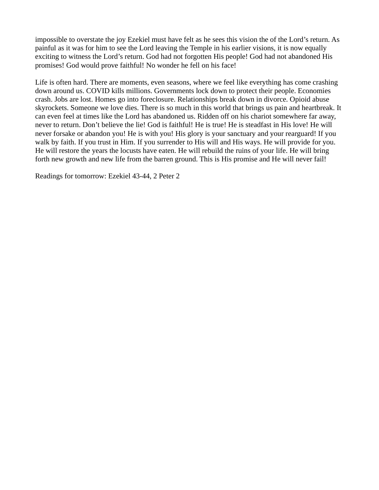impossible to overstate the joy Ezekiel must have felt as he sees this vision the of the Lord's return. As painful as it was for him to see the Lord leaving the Temple in his earlier visions, it is now equally exciting to witness the Lord's return. God had not forgotten His people! God had not abandoned His promises! God would prove faithful! No wonder he fell on his face!

Life is often hard. There are moments, even seasons, where we feel like everything has come crashing down around us. COVID kills millions. Governments lock down to protect their people. Economies crash. Jobs are lost. Homes go into foreclosure. Relationships break down in divorce. Opioid abuse skyrockets. Someone we love dies. There is so much in this world that brings us pain and heartbreak. It can even feel at times like the Lord has abandoned us. Ridden off on his chariot somewhere far away, never to return. Don't believe the lie! God is faithful! He is true! He is steadfast in His love! He will never forsake or abandon you! He is with you! His glory is your sanctuary and your rearguard! If you walk by faith. If you trust in Him. If you surrender to His will and His ways. He will provide for you. He will restore the years the locusts have eaten. He will rebuild the ruins of your life. He will bring forth new growth and new life from the barren ground. This is His promise and He will never fail!

Readings for tomorrow: Ezekiel 43-44, 2 Peter 2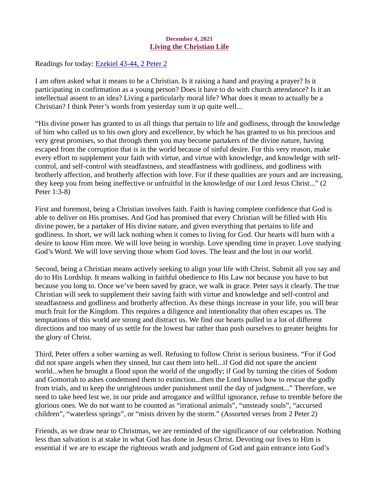## December 4, 2021 Living the Christian Life

<span id="page-6-0"></span>Readings for today[: Ezekiel 43-44, 2 Peter 2](https://www.biblegateway.com/passage/?search=Ezekiel+43-44%2C+2+Peter+2&version=ESV)

I am often asked what it means to be a Christian. Is it raising a hand and praying a prayer? Is it participating in confirmation as a young person? Does it have to do with church attendance? Is it an intellectual assent to an idea? Living a particularly moral life? What does it mean to actually be a Christian? I think Peter's words from yesterday sum it up quite well...

"His divine power has granted to us all things that pertain to life and godliness, through the knowledge of him who called us to his own glory and excellence, by which he has granted to us his precious and very great promises, so that through them you may become partakers of the divine nature, having escaped from the corruption that is in the world because of sinful desire. For this very reason, make every effort to supplement your faith with virtue, and virtue with knowledge, and knowledge with selfcontrol, and self-control with steadfastness, and steadfastness with godliness, and godliness with brotherly affection, and brotherly affection with love. For if these qualities are yours and are increasing, they keep you from being ineffective or unfruitful in the knowledge of our Lord Jesus Christ..." (2 Peter 1:3-8)

First and foremost, being a Christian involves faith. Faith is having complete confidence that God is able to deliver on His promises. And God has promised that every Christian will be filled with His divine power, be a partaker of His divine nature, and given everything that pertains to life and godliness. In short, we will lack nothing when it comes to living for God. Our hearts will burn with a desire to know Him more. We will love being in worship. Love spending time in prayer. Love studying God's Word. We will love serving those whom God loves. The least and the lost in our world.

Second, being a Christian means actively seeking to align your life with Christ. Submit all you say and do to His Lordship. It means walking in faithful obedience to His Law not because you have to but because you long to. Once we've been saved by grace, we walk in grace. Peter says it clearly. The true Christian will seek to supplement their saving faith with virtue and knowledge and self-control and steadfastness and godliness and brotherly affection. As these things increase in your life, you will bear much fruit for the Kingdom. This requires a diligence and intentionality that often escapes us. The temptations of this world are strong and distract us. We find our hearts pulled in a lot of different directions and too many of us settle for the lowest bar rather than push ourselves to greater heights for the glory of Christ.

Third, Peter offers a sober warning as well. Refusing to follow Christ is serious business. "For if God did not spare angels when they sinned, but cast them into hell...if God did not spare the ancient world...when he brought a flood upon the world of the ungodly; if God by turning the cities of Sodom and Gomorrah to ashes condemned them to extinction...then the Lord knows how to rescue the godly from trials, and to keep the unrighteous under punishment until the day of judgment..." Therefore, we need to take heed lest we, in our pride and arrogance and willful ignorance, refuse to tremble before the glorious ones. We do not want to be counted as "irrational animals", "unsteady souls", "accursed children", "waterless springs", or "mists driven by the storm." (Assorted verses from 2 Peter 2)

Friends, as we draw near to Christmas, we are reminded of the significance of our celebration. Nothing less than salvation is at stake in what God has done in Jesus Christ. Devoting our lives to Him is essential if we are to escape the righteous wrath and judgment of God and gain entrance into God's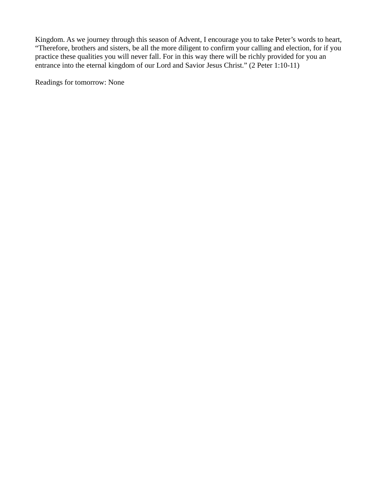Kingdom. As we journey through this season of Advent, I encourage you to take Peter's words to heart, "Therefore, brothers and sisters, be all the more diligent to confirm your calling and election, for if you practice these qualities you will never fall. For in this way there will be richly provided for you an entrance into the eternal kingdom of our Lord and Savior Jesus Christ." (2 Peter 1:10-11)

Readings for tomorrow: None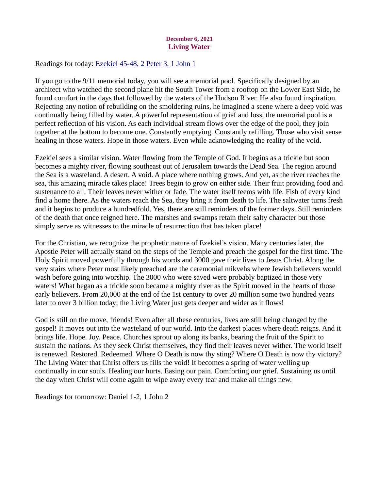# December 6, 2021 Living Water

<span id="page-8-0"></span>Readings for today[: Ezekiel 45-48, 2 Peter 3, 1 John 1](https://www.biblegateway.com/passage/?search=Ezekiel+45-48%2C+2+Peter+3%2C+1+John+1&version=ESV)

If you go to the 9/11 memorial today, you will see a memorial pool. Specifically designed by an architect who watched the second plane hit the South Tower from a rooftop on the Lower East Side, he found comfort in the days that followed by the waters of the Hudson River. He also found inspiration. Rejecting any notion of rebuilding on the smoldering ruins, he imagined a scene where a deep void was continually being filled by water. A powerful representation of grief and loss, the memorial pool is a perfect reflection of his vision. As each individual stream flows over the edge of the pool, they join together at the bottom to become one. Constantly emptying. Constantly refilling. Those who visit sense healing in those waters. Hope in those waters. Even while acknowledging the reality of the void.

Ezekiel sees a similar vision. Water flowing from the Temple of God. It begins as a trickle but soon becomes a mighty river, flowing southeast out of Jerusalem towards the Dead Sea. The region around the Sea is a wasteland. A desert. A void. A place where nothing grows. And yet, as the river reaches the sea, this amazing miracle takes place! Trees begin to grow on either side. Their fruit providing food and sustenance to all. Their leaves never wither or fade. The water itself teems with life. Fish of every kind find a home there. As the waters reach the Sea, they bring it from death to life. The saltwater turns fresh and it begins to produce a hundredfold. Yes, there are still reminders of the former days. Still reminders of the death that once reigned here. The marshes and swamps retain their salty character but those simply serve as witnesses to the miracle of resurrection that has taken place!

For the Christian, we recognize the prophetic nature of Ezekiel's vision. Many centuries later, the Apostle Peter will actually stand on the steps of the Temple and preach the gospel for the first time. The Holy Spirit moved powerfully through his words and 3000 gave their lives to Jesus Christ. Along the very stairs where Peter most likely preached are the ceremonial mikvehs where Jewish believers would wash before going into worship. The 3000 who were saved were probably baptized in those very waters! What began as a trickle soon became a mighty river as the Spirit moved in the hearts of those early believers. From 20,000 at the end of the 1st century to over 20 million some two hundred years later to over 3 billion today; the Living Water just gets deeper and wider as it flows!

God is still on the move, friends! Even after all these centuries, lives are still being changed by the gospel! It moves out into the wasteland of our world. Into the darkest places where death reigns. And it brings life. Hope. Joy. Peace. Churches sprout up along its banks, bearing the fruit of the Spirit to sustain the nations. As they seek Christ themselves, they find their leaves never wither. The world itself is renewed. Restored. Redeemed. Where O Death is now thy sting? Where O Death is now thy victory? The Living Water that Christ offers us fills the void! It becomes a spring of water welling up continually in our souls. Healing our hurts. Easing our pain. Comforting our grief. Sustaining us until the day when Christ will come again to wipe away every tear and make all things new.

Readings for tomorrow: Daniel 1-2, 1 John 2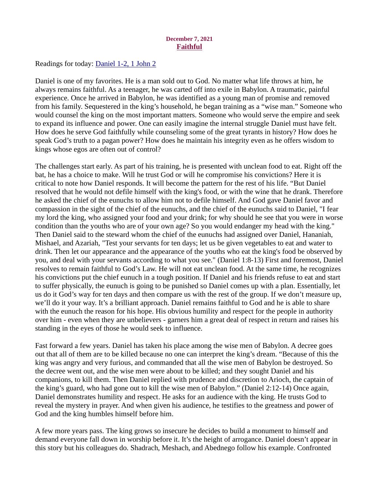#### December 7, 2021 Faithful

<span id="page-9-0"></span>Readings for today[: Daniel 1-2, 1 John 2](https://www.biblegateway.com/passage/?search=Daniel+1-2%2C+1+John+2&version=ESV)

Daniel is one of my favorites. He is a man sold out to God. No matter what life throws at him, he always remains faithful. As a teenager, he was carted off into exile in Babylon. A traumatic, painful experience. Once he arrived in Babylon, he was identified as a young man of promise and removed from his family. Sequestered in the king's household, he began training as a "wise man." Someone who would counsel the king on the most important matters. Someone who would serve the empire and seek to expand its influence and power. One can easily imagine the internal struggle Daniel must have felt. How does he serve God faithfully while counseling some of the great tyrants in history? How does he speak God's truth to a pagan power? How does he maintain his integrity even as he offers wisdom to kings whose egos are often out of control?

The challenges start early. As part of his training, he is presented with unclean food to eat. Right off the bat, he has a choice to make. Will he trust God or will he compromise his convictions? Here it is critical to note how Daniel responds. It will become the pattern for the rest of his life. "But Daniel resolved that he would not defile himself with the king's food, or with the wine that he drank. Therefore he asked the chief of the eunuchs to allow him not to defile himself. And God gave Daniel favor and compassion in the sight of the chief of the eunuchs, and the chief of the eunuchs said to Daniel, "I fear my lord the king, who assigned your food and your drink; for why should he see that you were in worse condition than the youths who are of your own age? So you would endanger my head with the king." Then Daniel said to the steward whom the chief of the eunuchs had assigned over Daniel, Hananiah, Mishael, and Azariah, "Test your servants for ten days; let us be given vegetables to eat and water to drink. Then let our appearance and the appearance of the youths who eat the king's food be observed by you, and deal with your servants according to what you see." (Daniel 1:8-13) First and foremost, Daniel resolves to remain faithful to God's Law. He will not eat unclean food. At the same time, he recognizes his convictions put the chief eunuch in a tough position. If Daniel and his friends refuse to eat and start to suffer physically, the eunuch is going to be punished so Daniel comes up with a plan. Essentially, let us do it God's way for ten days and then compare us with the rest of the group. If we don't measure up, we'll do it your way. It's a brilliant approach. Daniel remains faithful to God and he is able to share with the eunuch the reason for his hope. His obvious humility and respect for the people in authority over him - even when they are unbelievers - garners him a great deal of respect in return and raises his standing in the eyes of those he would seek to influence.

Fast forward a few years. Daniel has taken his place among the wise men of Babylon. A decree goes out that all of them are to be killed because no one can interpret the king's dream. "Because of this the king was angry and very furious, and commanded that all the wise men of Babylon be destroyed. So the decree went out, and the wise men were about to be killed; and they sought Daniel and his companions, to kill them. Then Daniel replied with prudence and discretion to Arioch, the captain of the king's guard, who had gone out to kill the wise men of Babylon." (Daniel 2:12-14) Once again, Daniel demonstrates humility and respect. He asks for an audience with the king. He trusts God to reveal the mystery in prayer. And when given his audience, he testifies to the greatness and power of God and the king humbles himself before him.

A few more years pass. The king grows so insecure he decides to build a monument to himself and demand everyone fall down in worship before it. It's the height of arrogance. Daniel doesn't appear in this story but his colleagues do. Shadrach, Meshach, and Abednego follow his example. Confronted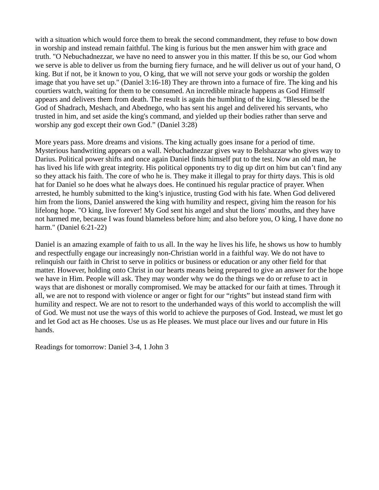with a situation which would force them to break the second commandment, they refuse to bow down in worship and instead remain faithful. The king is furious but the men answer him with grace and truth. "O Nebuchadnezzar, we have no need to answer you in this matter. If this be so, our God whom we serve is able to deliver us from the burning fiery furnace, and he will deliver us out of your hand, O king. But if not, be it known to you, O king, that we will not serve your gods or worship the golden image that you have set up." (Daniel 3:16-18) They are thrown into a furnace of fire. The king and his courtiers watch, waiting for them to be consumed. An incredible miracle happens as God Himself appears and delivers them from death. The result is again the humbling of the king. "Blessed be the God of Shadrach, Meshach, and Abednego, who has sent his angel and delivered his servants, who trusted in him, and set aside the king's command, and yielded up their bodies rather than serve and worship any god except their own God." (Daniel 3:28)

More years pass. More dreams and visions. The king actually goes insane for a period of time. Mysterious handwriting appears on a wall. Nebuchadnezzar gives way to Belshazzar who gives way to Darius. Political power shifts and once again Daniel finds himself put to the test. Now an old man, he has lived his life with great integrity. His political opponents try to dig up dirt on him but can't find any so they attack his faith. The core of who he is. They make it illegal to pray for thirty days. This is old hat for Daniel so he does what he always does. He continued his regular practice of prayer. When arrested, he humbly submitted to the king's injustice, trusting God with his fate. When God delivered him from the lions, Daniel answered the king with humility and respect, giving him the reason for his lifelong hope. "O king, live forever! My God sent his angel and shut the lions' mouths, and they have not harmed me, because I was found blameless before him; and also before you, O king, I have done no harm." (Daniel 6:21-22)

Daniel is an amazing example of faith to us all. In the way he lives his life, he shows us how to humbly and respectfully engage our increasingly non-Christian world in a faithful way. We do not have to relinquish our faith in Christ to serve in politics or business or education or any other field for that matter. However, holding onto Christ in our hearts means being prepared to give an answer for the hope we have in Him. People will ask. They may wonder why we do the things we do or refuse to act in ways that are dishonest or morally compromised. We may be attacked for our faith at times. Through it all, we are not to respond with violence or anger or fight for our "rights" but instead stand firm with humility and respect. We are not to resort to the underhanded ways of this world to accomplish the will of God. We must not use the ways of this world to achieve the purposes of God. Instead, we must let go and let God act as He chooses. Use us as He pleases. We must place our lives and our future in His hands.

Readings for tomorrow: Daniel 3-4, 1 John 3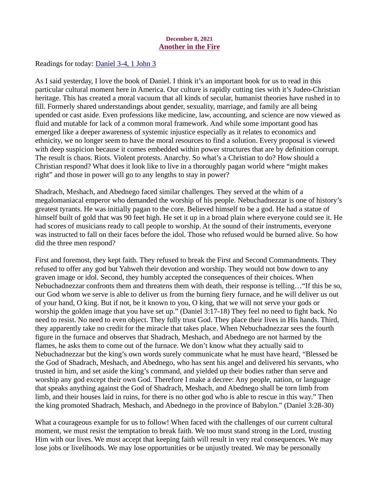#### December 8, 2021 Another in the Fire

<span id="page-11-0"></span>Readings for today: [Daniel 3-4, 1 John 3](https://www.biblegateway.com/passage/?search=Daniel+3-4%2C+1+John+3&version=ESV)

As I said yesterday, I love the book of Daniel. I think it's an important book for us to read in this particular cultural moment here in America. Our culture is rapidly cutting ties with it's Judeo-Christian heritage. This has created a moral vacuum that all kinds of secular, humanist theories have rushed in to fill. Formerly shared understandings about gender, sexuality, marriage, and family are all being upended or cast aside. Even professions like medicine, law, accounting, and science are now viewed as fluid and mutable for lack of a common moral framework. And while some important good has emerged like a deeper awareness of systemic injustice especially as it relates to economics and ethnicity, we no longer seem to have the moral resources to find a solution. Every proposal is viewed with deep suspicion because it comes embedded within power structures that are by definition corrupt. The result is chaos. Riots. Violent protests. Anarchy. So what's a Christian to do? How should a Christian respond? What does it look like to live in a thoroughly pagan world where "might makes right" and those in power will go to any lengths to stay in power?

Shadrach, Meshach, and Abednego faced similar challenges. They served at the whim of a megalomaniacal emperor who demanded the worship of his people. Nebuchadnezzar is one of history's greatest tyrants. He was initially pagan to the core. Believed himself to be a god. He had a statue of himself built of gold that was 90 feet high. He set it up in a broad plain where everyone could see it. He had scores of musicians ready to call people to worship. At the sound of their instruments, everyone was instructed to fall on their faces before the idol. Those who refused would be burned alive. So how did the three men respond?

First and foremost, they kept faith. They refused to break the First and Second Commandments. They refused to offer any god but Yahweh their devotion and worship. They would not bow down to any graven image or idol. Second, they humbly accepted the consequences of their choices. When Nebuchadnezzar confronts them and threatens them with death, their response is telling…"If this be so, our God whom we serve is able to deliver us from the burning fiery furnace, and he will deliver us out of your hand, O king. But if not, be it known to you, O king, that we will not serve your gods or worship the golden image that you have set up." (Daniel 3:17-18) They feel no need to fight back. No need to resist. No need to even object. They fully trust God. They place their lives in His hands. Third, they apparently take no credit for the miracle that takes place. When Nebuchadnezzar sees the fourth figure in the furnace and observes that Shadrach, Meshach, and Abednego are not harmed by the flames, he asks them to come out of the furnace. We don't know what they actually said to Nebuchadnezzar but the king's own words surely communicate what he must have heard, "Blessed be the God of Shadrach, Meshach, and Abednego, who has sent his angel and delivered his servants, who trusted in him, and set aside the king's command, and yielded up their bodies rather than serve and worship any god except their own God. Therefore I make a decree: Any people, nation, or language that speaks anything against the God of Shadrach, Meshach, and Abednego shall be torn limb from limb, and their houses laid in ruins, for there is no other god who is able to rescue in this way." Then the king promoted Shadrach, Meshach, and Abednego in the province of Babylon." (Daniel 3:28-30)

What a courageous example for us to follow! When faced with the challenges of our current cultural moment, we must resist the temptation to break faith. We too must stand strong in the Lord, trusting Him with our lives. We must accept that keeping faith will result in very real consequences. We may lose jobs or livelihoods. We may lose opportunities or be unjustly treated. We may be personally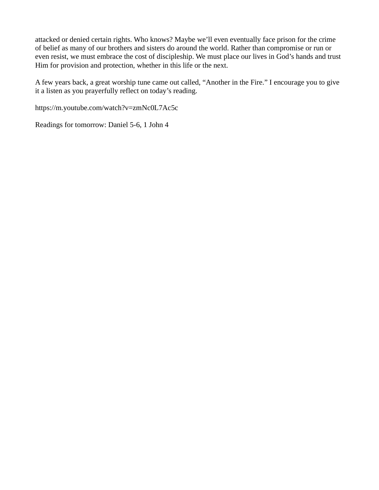attacked or denied certain rights. Who knows? Maybe we'll even eventually face prison for the crime of belief as many of our brothers and sisters do around the world. Rather than compromise or run or even resist, we must embrace the cost of discipleship. We must place our lives in God's hands and trust Him for provision and protection, whether in this life or the next.

A few years back, a great worship tune came out called, "Another in the Fire." I encourage you to give it a listen as you prayerfully reflect on today's reading.

https://m.youtube.com/watch?v=zmNc0L7Ac5c

Readings for tomorrow: [Daniel 5-6, 1 John 4](https://www.biblegateway.com/passage/?search=Daniel+5-6%2C+1+John+4&version=ESV)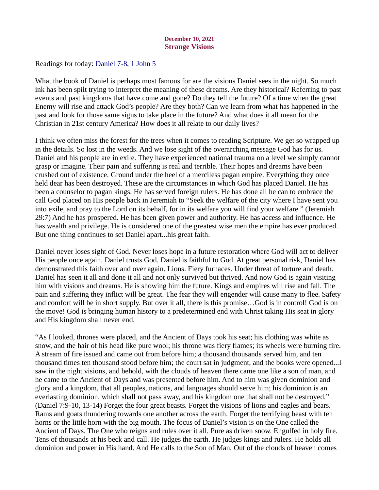#### December 10, 2021 Strange Visions

<span id="page-13-0"></span>Readings for today: [Daniel 7-8, 1 John 5](https://www.biblegateway.com/passage/?search=Daniel+7-8%2C+1+John+5&version=ESV)

What the book of Daniel is perhaps most famous for are the visions Daniel sees in the night. So much ink has been spilt trying to interpret the meaning of these dreams. Are they historical? Referring to past events and past kingdoms that have come and gone? Do they tell the future? Of a time when the great Enemy will rise and attack God's people? Are they both? Can we learn from what has happened in the past and look for those same signs to take place in the future? And what does it all mean for the Christian in 21st century America? How does it all relate to our daily lives?

I think we often miss the forest for the trees when it comes to reading Scripture. We get so wrapped up in the details. So lost in the weeds. And we lose sight of the overarching message God has for us. Daniel and his people are in exile. They have experienced national trauma on a level we simply cannot grasp or imagine. Their pain and suffering is real and terrible. Their hopes and dreams have been crushed out of existence. Ground under the heel of a merciless pagan empire. Everything they once held dear has been destroyed. These are the circumstances in which God has placed Daniel. He has been a counselor to pagan kings. He has served foreign rulers. He has done all he can to embrace the call God placed on His people back in Jeremiah to "Seek the welfare of the city where I have sent you into exile, and pray to the Lord on its behalf, for in its welfare you will find your welfare." (Jeremiah 29:7) And he has prospered. He has been given power and authority. He has access and influence. He has wealth and privilege. He is considered one of the greatest wise men the empire has ever produced. But one thing continues to set Daniel apart...his great faith.

Daniel never loses sight of God. Never loses hope in a future restoration where God will act to deliver His people once again. Daniel trusts God. Daniel is faithful to God. At great personal risk, Daniel has demonstrated this faith over and over again. Lions. Fiery furnaces. Under threat of torture and death. Daniel has seen it all and done it all and not only survived but thrived. And now God is again visiting him with visions and dreams. He is showing him the future. Kings and empires will rise and fall. The pain and suffering they inflict will be great. The fear they will engender will cause many to flee. Safety and comfort will be in short supply. But over it all, there is this promise…God is in control! God is on the move! God is bringing human history to a predetermined end with Christ taking His seat in glory and His kingdom shall never end.

"As I looked, thrones were placed, and the Ancient of Days took his seat; his clothing was white as snow, and the hair of his head like pure wool; his throne was fiery flames; its wheels were burning fire. A stream of fire issued and came out from before him; a thousand thousands served him, and ten thousand times ten thousand stood before him; the court sat in judgment, and the books were opened...I saw in the night visions, and behold, with the clouds of heaven there came one like a son of man, and he came to the Ancient of Days and was presented before him. And to him was given dominion and glory and a kingdom, that all peoples, nations, and languages should serve him; his dominion is an everlasting dominion, which shall not pass away, and his kingdom one that shall not be destroyed." (Daniel 7:9-10, 13-14) Forget the four great beasts. Forget the visions of lions and eagles and bears. Rams and goats thundering towards one another across the earth. Forget the terrifying beast with ten horns or the little horn with the big mouth. The focus of Daniel's vision is on the One called the Ancient of Days. The One who reigns and rules over it all. Pure as driven snow. Engulfed in holy fire. Tens of thousands at his beck and call. He judges the earth. He judges kings and rulers. He holds all dominion and power in His hand. And He calls to the Son of Man. Out of the clouds of heaven comes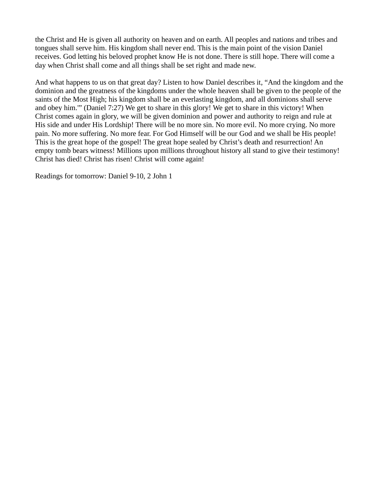the Christ and He is given all authority on heaven and on earth. All peoples and nations and tribes and tongues shall serve him. His kingdom shall never end. This is the main point of the vision Daniel receives. God letting his beloved prophet know He is not done. There is still hope. There will come a day when Christ shall come and all things shall be set right and made new.

And what happens to us on that great day? Listen to how Daniel describes it, "And the kingdom and the dominion and the greatness of the kingdoms under the whole heaven shall be given to the people of the saints of the Most High; his kingdom shall be an everlasting kingdom, and all dominions shall serve and obey him.'" (Daniel 7:27) We get to share in this glory! We get to share in this victory! When Christ comes again in glory, we will be given dominion and power and authority to reign and rule at His side and under His Lordship! There will be no more sin. No more evil. No more crying. No more pain. No more suffering. No more fear. For God Himself will be our God and we shall be His people! This is the great hope of the gospel! The great hope sealed by Christ's death and resurrection! An empty tomb bears witness! Millions upon millions throughout history all stand to give their testimony! Christ has died! Christ has risen! Christ will come again!

Readings for tomorrow: Daniel 9-10, 2 John 1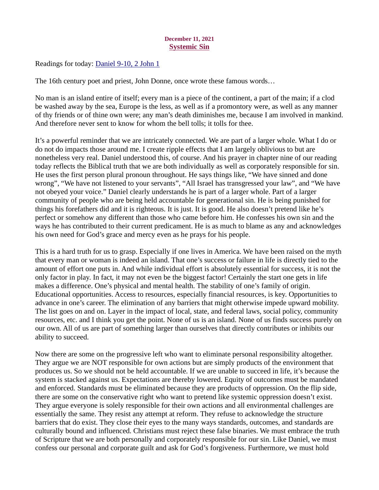# December 11, 2021 Systemic Sin

<span id="page-15-0"></span>Readings for today: [Daniel 9-10, 2 John 1](https://www.biblegateway.com/passage/?search=Daniel+9-10%2C+2+John+1&version=ESV)

The 16th century poet and priest, John Donne, once wrote these famous words…

No man is an island entire of itself; every man is a piece of the continent, a part of the main; if a clod be washed away by the sea, Europe is the less, as well as if a promontory were, as well as any manner of thy friends or of thine own were; any man's death diminishes me, because I am involved in mankind. And therefore never sent to know for whom the bell tolls; it tolls for thee.

It's a powerful reminder that we are intricately connected. We are part of a larger whole. What I do or do not do impacts those around me. I create ripple effects that I am largely oblivious to but are nonetheless very real. Daniel understood this, of course. And his prayer in chapter nine of our reading today reflects the Biblical truth that we are both individually as well as corporately responsible for sin. He uses the first person plural pronoun throughout. He says things like, "We have sinned and done wrong", "We have not listened to your servants", "All Israel has transgressed your law", and "We have not obeyed your voice." Daniel clearly understands he is part of a larger whole. Part of a larger community of people who are being held accountable for generational sin. He is being punished for things his forefathers did and it is righteous. It is just. It is good. He also doesn't pretend like he's perfect or somehow any different than those who came before him. He confesses his own sin and the ways he has contributed to their current predicament. He is as much to blame as any and acknowledges his own need for God's grace and mercy even as he prays for his people.

This is a hard truth for us to grasp. Especially if one lives in America. We have been raised on the myth that every man or woman is indeed an island. That one's success or failure in life is directly tied to the amount of effort one puts in. And while individual effort is absolutely essential for success, it is not the only factor in play. In fact, it may not even be the biggest factor! Certainly the start one gets in life makes a difference. One's physical and mental health. The stability of one's family of origin. Educational opportunities. Access to resources, especially financial resources, is key. Opportunities to advance in one's career. The elimination of any barriers that might otherwise impede upward mobility. The list goes on and on. Layer in the impact of local, state, and federal laws, social policy, community resources, etc. and I think you get the point. None of us is an island. None of us finds success purely on our own. All of us are part of something larger than ourselves that directly contributes or inhibits our ability to succeed.

Now there are some on the progressive left who want to eliminate personal responsibility altogether. They argue we are NOT responsible for own actions but are simply products of the environment that produces us. So we should not be held accountable. If we are unable to succeed in life, it's because the system is stacked against us. Expectations are thereby lowered. Equity of outcomes must be mandated and enforced. Standards must be eliminated because they are products of oppression. On the flip side, there are some on the conservative right who want to pretend like systemic oppression doesn't exist. They argue everyone is solely responsible for their own actions and all environmental challenges are essentially the same. They resist any attempt at reform. They refuse to acknowledge the structure barriers that do exist. They close their eyes to the many ways standards, outcomes, and standards are culturally bound and influenced. Christians must reject these false binaries. We must embrace the truth of Scripture that we are both personally and corporately responsible for our sin. Like Daniel, we must confess our personal and corporate guilt and ask for God's forgiveness. Furthermore, we must hold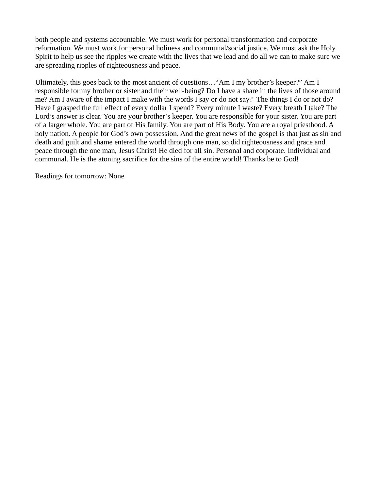both people and systems accountable. We must work for personal transformation and corporate reformation. We must work for personal holiness and communal/social justice. We must ask the Holy Spirit to help us see the ripples we create with the lives that we lead and do all we can to make sure we are spreading ripples of righteousness and peace.

Ultimately, this goes back to the most ancient of questions…"Am I my brother's keeper?" Am I responsible for my brother or sister and their well-being? Do I have a share in the lives of those around me? Am I aware of the impact I make with the words I say or do not say? The things I do or not do? Have I grasped the full effect of every dollar I spend? Every minute I waste? Every breath I take? The Lord's answer is clear. You are your brother's keeper. You are responsible for your sister. You are part of a larger whole. You are part of His family. You are part of His Body. You are a royal priesthood. A holy nation. A people for God's own possession. And the great news of the gospel is that just as sin and death and guilt and shame entered the world through one man, so did righteousness and grace and peace through the one man, Jesus Christ! He died for all sin. Personal and corporate. Individual and communal. He is the atoning sacrifice for the sins of the entire world! Thanks be to God!

Readings for tomorrow: None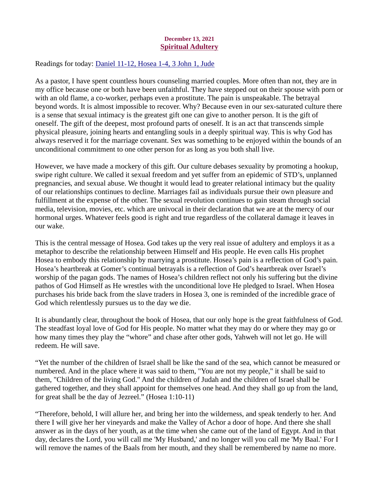# December 13, 2021 Spiritual Adultery

<span id="page-17-0"></span>Readings for today: [Daniel 11-12, Hosea 1-4, 3 John 1, Jude](https://www.biblegateway.com/passage/?search=Daniel+11-12%2C+Hosea+1-4%2C+3+John+1%2C+Jude&version=ESV)

As a pastor, I have spent countless hours counseling married couples. More often than not, they are in my office because one or both have been unfaithful. They have stepped out on their spouse with porn or with an old flame, a co-worker, perhaps even a prostitute. The pain is unspeakable. The betrayal beyond words. It is almost impossible to recover. Why? Because even in our sex-saturated culture there is a sense that sexual intimacy is the greatest gift one can give to another person. It is the gift of oneself. The gift of the deepest, most profound parts of oneself. It is an act that transcends simple physical pleasure, joining hearts and entangling souls in a deeply spiritual way. This is why God has always reserved it for the marriage covenant. Sex was something to be enjoyed within the bounds of an unconditional commitment to one other person for as long as you both shall live.

However, we have made a mockery of this gift. Our culture debases sexuality by promoting a hookup, swipe right culture. We called it sexual freedom and yet suffer from an epidemic of STD's, unplanned pregnancies, and sexual abuse. We thought it would lead to greater relational intimacy but the quality of our relationships continues to decline. Marriages fail as individuals pursue their own pleasure and fulfillment at the expense of the other. The sexual revolution continues to gain steam through social media, television, movies, etc. which are univocal in their declaration that we are at the mercy of our hormonal urges. Whatever feels good is right and true regardless of the collateral damage it leaves in our wake.

This is the central message of Hosea. God takes up the very real issue of adultery and employs it as a metaphor to describe the relationship between Himself and His people. He even calls His prophet Hosea to embody this relationship by marrying a prostitute. Hosea's pain is a reflection of God's pain. Hosea's heartbreak at Gomer's continual betrayals is a reflection of God's heartbreak over Israel's worship of the pagan gods. The names of Hosea's children reflect not only his suffering but the divine pathos of God Himself as He wrestles with the unconditional love He pledged to Israel. When Hosea purchases his bride back from the slave traders in Hosea 3, one is reminded of the incredible grace of God which relentlessly pursues us to the day we die.

It is abundantly clear, throughout the book of Hosea, that our only hope is the great faithfulness of God. The steadfast loyal love of God for His people. No matter what they may do or where they may go or how many times they play the "whore" and chase after other gods, Yahweh will not let go. He will redeem. He will save.

"Yet the number of the children of Israel shall be like the sand of the sea, which cannot be measured or numbered. And in the place where it was said to them, "You are not my people," it shall be said to them, "Children of the living God." And the children of Judah and the children of Israel shall be gathered together, and they shall appoint for themselves one head. And they shall go up from the land, for great shall be the day of Jezreel." (Hosea 1:10-11)

"Therefore, behold, I will allure her, and bring her into the wilderness, and speak tenderly to her. And there I will give her her vineyards and make the Valley of Achor a door of hope. And there she shall answer as in the days of her youth, as at the time when she came out of the land of Egypt. And in that day, declares the Lord, you will call me 'My Husband,' and no longer will you call me 'My Baal.' For I will remove the names of the Baals from her mouth, and they shall be remembered by name no more.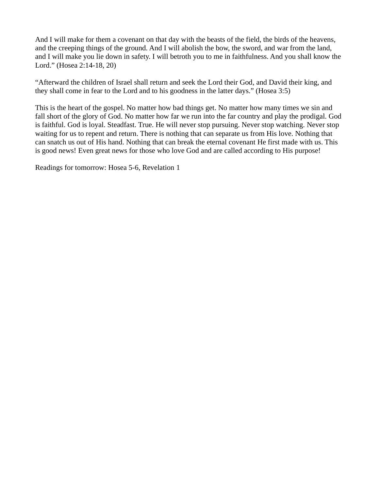And I will make for them a covenant on that day with the beasts of the field, the birds of the heavens, and the creeping things of the ground. And I will abolish the bow, the sword, and war from the land, and I will make you lie down in safety. I will betroth you to me in faithfulness. And you shall know the Lord." (Hosea 2:14-18, 20)

"Afterward the children of Israel shall return and seek the Lord their God, and David their king, and they shall come in fear to the Lord and to his goodness in the latter days." (Hosea 3:5)

This is the heart of the gospel. No matter how bad things get. No matter how many times we sin and fall short of the glory of God. No matter how far we run into the far country and play the prodigal. God is faithful. God is loyal. Steadfast. True. He will never stop pursuing. Never stop watching. Never stop waiting for us to repent and return. There is nothing that can separate us from His love. Nothing that can snatch us out of His hand. Nothing that can break the eternal covenant He first made with us. This is good news! Even great news for those who love God and are called according to His purpose!

Readings for tomorrow: [Hosea 5-6, Revelation 1](https://www.biblegateway.com/passage/?search=Hosea+5-6%2C+Revelation+1&version=ESV)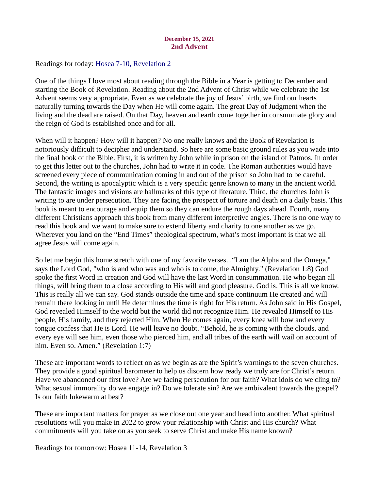# December 15, 2021 2nd Advent

<span id="page-19-0"></span>Readings for today: [Hosea 7-10, Revelation 2](https://www.biblegateway.com/passage/?search=Hosea+7-10%2C+Revelation+2&version=ESV)

One of the things I love most about reading through the Bible in a Year is getting to December and starting the Book of Revelation. Reading about the 2nd Advent of Christ while we celebrate the 1st Advent seems very appropriate. Even as we celebrate the joy of Jesus' birth, we find our hearts naturally turning towards the Day when He will come again. The great Day of Judgment when the living and the dead are raised. On that Day, heaven and earth come together in consummate glory and the reign of God is established once and for all.

When will it happen? How will it happen? No one really knows and the Book of Revelation is notoriously difficult to decipher and understand. So here are some basic ground rules as you wade into the final book of the Bible. First, it is written by John while in prison on the island of Patmos. In order to get this letter out to the churches, John had to write it in code. The Roman authorities would have screened every piece of communication coming in and out of the prison so John had to be careful. Second, the writing is apocalyptic which is a very specific genre known to many in the ancient world. The fantastic images and visions are hallmarks of this type of literature. Third, the churches John is writing to are under persecution. They are facing the prospect of torture and death on a daily basis. This book is meant to encourage and equip them so they can endure the rough days ahead. Fourth, many different Christians approach this book from many different interpretive angles. There is no one way to read this book and we want to make sure to extend liberty and charity to one another as we go. Wherever you land on the "End Times" theological spectrum, what's most important is that we all agree Jesus will come again.

So let me begin this home stretch with one of my favorite verses..."I am the Alpha and the Omega," says the Lord God, "who is and who was and who is to come, the Almighty." (Revelation 1:8) God spoke the first Word in creation and God will have the last Word in consummation. He who began all things, will bring them to a close according to His will and good pleasure. God is. This is all we know. This is really all we can say. God stands outside the time and space continuum He created and will remain there looking in until He determines the time is right for His return. As John said in His Gospel, God revealed Himself to the world but the world did not recognize Him. He revealed Himself to His people, His family, and they rejected Him. When He comes again, every knee will bow and every tongue confess that He is Lord. He will leave no doubt. "Behold, he is coming with the clouds, and every eye will see him, even those who pierced him, and all tribes of the earth will wail on account of him. Even so. Amen." (Revelation 1:7)

These are important words to reflect on as we begin as are the Spirit's warnings to the seven churches. They provide a good spiritual barometer to help us discern how ready we truly are for Christ's return. Have we abandoned our first love? Are we facing persecution for our faith? What idols do we cling to? What sexual immorality do we engage in? Do we tolerate sin? Are we ambivalent towards the gospel? Is our faith lukewarm at best?

These are important matters for prayer as we close out one year and head into another. What spiritual resolutions will you make in 2022 to grow your relationship with Christ and His church? What commitments will you take on as you seek to serve Christ and make His name known?

Readings for tomorrow: Hosea 11-14, Revelation 3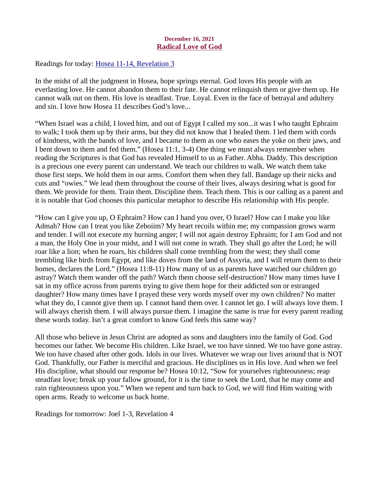# December 16, 2021 Radical Love of God

<span id="page-20-0"></span>Readings for today: [Hosea 11-14, Revelation 3](https://www.biblegateway.com/passage/?search=Hosea+11-14%2C+Revelation+3&version=ESV)

In the midst of all the judgment in Hosea, hope springs eternal. God loves His people with an everlasting love. He cannot abandon them to their fate. He cannot relinquish them or give them up. He cannot walk out on them. His love is steadfast. True. Loyal. Even in the face of betrayal and adultery and sin. I love how Hosea 11 describes God's love...

"When Israel was a child, I loved him, and out of Egypt I called my son...it was I who taught Ephraim to walk; I took them up by their arms, but they did not know that I healed them. I led them with cords of kindness, with the bands of love, and I became to them as one who eases the yoke on their jaws, and I bent down to them and fed them." (Hosea 11:1, 3-4) One thing we must always remember when reading the Scriptures is that God has revealed Himself to us as Father. Abba. Daddy. This description is a precious one every parent can understand. We teach our children to walk. We watch them take those first steps. We hold them in our arms. Comfort them when they fall. Bandage up their nicks and cuts and "owies." We lead them throughout the course of their lives, always desiring what is good for them. We provide for them. Train them. Discipline them. Teach them. This is our calling as a parent and it is notable that God chooses this particular metaphor to describe His relationship with His people.

"How can I give you up, O Ephraim? How can I hand you over, O Israel? How can I make you like Admah? How can I treat you like Zeboiim? My heart recoils within me; my compassion grows warm and tender. I will not execute my burning anger; I will not again destroy Ephraim; for I am God and not a man, the Holy One in your midst, and I will not come in wrath. They shall go after the Lord; he will roar like a lion; when he roars, his children shall come trembling from the west; they shall come trembling like birds from Egypt, and like doves from the land of Assyria, and I will return them to their homes, declares the Lord." (Hosea 11:8-11) How many of us as parents have watched our children go astray? Watch them wander off the path? Watch them choose self-destruction? How many times have I sat in my office across from parents trying to give them hope for their addicted son or estranged daughter? How many times have I prayed these very words myself over my own children? No matter what they do, I cannot give them up. I cannot hand them over. I cannot let go. I will always love them. I will always cherish them. I will always pursue them. I imagine the same is true for every parent reading these words today. Isn't a great comfort to know God feels this same way?

All those who believe in Jesus Christ are adopted as sons and daughters into the family of God. God becomes our father. We become His children. Like Israel, we too have sinned. We too have gone astray. We too have chased after other gods. Idols in our lives. Whatever we wrap our lives around that is NOT God. Thankfully, our Father is merciful and gracious. He disciplines us in His love. And when we feel His discipline, what should our response be? Hosea 10:12, "Sow for yourselves righteousness; reap steadfast love; break up your fallow ground, for it is the time to seek the Lord, that he may come and rain righteousness upon you." When we repent and turn back to God, we will find Him waiting with open arms. Ready to welcome us back home.

Readings for tomorrow: Joel 1-3, Revelation 4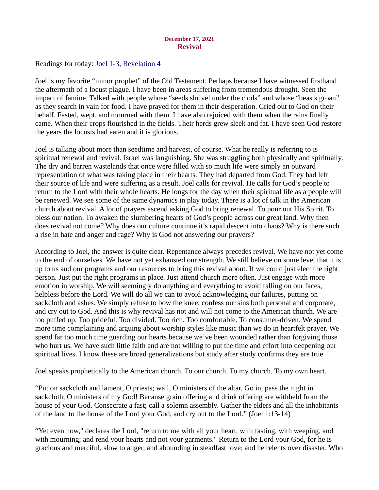# December 17, 2021 Revival

<span id="page-21-0"></span>Readings for today: **Joel 1-3, Revelation 4** 

Joel is my favorite "minor prophet" of the Old Testament. Perhaps because I have witnessed firsthand the aftermath of a locust plague. I have been in areas suffering from tremendous drought. Seen the impact of famine. Talked with people whose "seeds shrivel under the clods" and whose "beasts groan" as they search in vain for food. I have prayed for them in their desperation. Cried out to God on their behalf. Fasted, wept, and mourned with them. I have also rejoiced with them when the rains finally came. When their crops flourished in the fields. Their herds grew sleek and fat. I have seen God restore the years the locusts had eaten and it is glorious.

Joel is talking about more than seedtime and harvest, of course. What he really is referring to is spiritual renewal and revival. Israel was languishing. She was struggling both physically and spiritually. The dry and barren wastelands that once were filled with so much life were simply an outward representation of what was taking place in their hearts. They had departed from God. They had left their source of life and were suffering as a result. Joel calls for revival. He calls for God's people to return to the Lord with their whole hearts. He longs for the day when their spiritual life as a people will be renewed. We see some of the same dynamics in play today. There is a lot of talk in the American church about revival. A lot of prayers ascend asking God to bring renewal. To pour out His Spirit. To bless our nation. To awaken the slumbering hearts of God's people across our great land. Why then does revival not come? Why does our culture continue it's rapid descent into chaos? Why is there such a rise in hate and anger and rage? Why is God not answering our prayers?

According to Joel, the answer is quite clear. Repentance always precedes revival. We have not yet come to the end of ourselves. We have not yet exhausted our strength. We still believe on some level that it is up to us and our programs and our resources to bring this revival about. If we could just elect the right person. Just put the right programs in place. Just attend church more often. Just engage with more emotion in worship. We will seemingly do anything and everything to avoid falling on our faces, helpless before the Lord. We will do all we can to avoid acknowledging our failures, putting on sackcloth and ashes. We simply refuse to bow the knee, confess our sins both personal and corporate, and cry out to God. And this is why revival has not and will not come to the American church. We are too puffed up. Too prideful. Too divided. Too rich. Too comfortable. To consumer-driven. We spend more time complaining and arguing about worship styles like music than we do in heartfelt prayer. We spend far too much time guarding our hearts because we've been wounded rather than forgiving those who hurt us. We have such little faith and are not willing to put the time and effort into deepening our spiritual lives. I know these are broad generalizations but study after study confirms they are true.

Joel speaks prophetically to the American church. To our church. To my church. To my own heart.

"Put on sackcloth and lament, O priests; wail, O ministers of the altar. Go in, pass the night in sackcloth, O ministers of my God! Because grain offering and drink offering are withheld from the house of your God. Consecrate a fast; call a solemn assembly. Gather the elders and all the inhabitants of the land to the house of the Lord your God, and cry out to the Lord." (Joel 1:13-14)

"Yet even now," declares the Lord, "return to me with all your heart, with fasting, with weeping, and with mourning; and rend your hearts and not your garments." Return to the Lord your God, for he is gracious and merciful, slow to anger, and abounding in steadfast love; and he relents over disaster. Who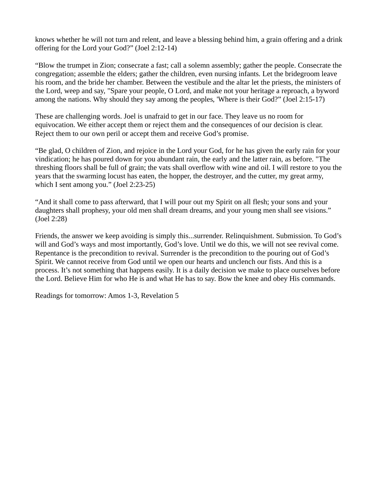knows whether he will not turn and relent, and leave a blessing behind him, a grain offering and a drink offering for the Lord your God?" (Joel 2:12-14)

"Blow the trumpet in Zion; consecrate a fast; call a solemn assembly; gather the people. Consecrate the congregation; assemble the elders; gather the children, even nursing infants. Let the bridegroom leave his room, and the bride her chamber. Between the vestibule and the altar let the priests, the ministers of the Lord, weep and say, "Spare your people, O Lord, and make not your heritage a reproach, a byword among the nations. Why should they say among the peoples, 'Where is their God?" (Joel 2:15-17)

These are challenging words. Joel is unafraid to get in our face. They leave us no room for equivocation. We either accept them or reject them and the consequences of our decision is clear. Reject them to our own peril or accept them and receive God's promise.

"Be glad, O children of Zion, and rejoice in the Lord your God, for he has given the early rain for your vindication; he has poured down for you abundant rain, the early and the latter rain, as before. "The threshing floors shall be full of grain; the vats shall overflow with wine and oil. I will restore to you the years that the swarming locust has eaten, the hopper, the destroyer, and the cutter, my great army, which I sent among you." (Joel 2:23-25)

"And it shall come to pass afterward, that I will pour out my Spirit on all flesh; your sons and your daughters shall prophesy, your old men shall dream dreams, and your young men shall see visions." (Joel 2:28)

Friends, the answer we keep avoiding is simply this...surrender. Relinquishment. Submission. To God's will and God's ways and most importantly, God's love. Until we do this, we will not see revival come. Repentance is the precondition to revival. Surrender is the precondition to the pouring out of God's Spirit. We cannot receive from God until we open our hearts and unclench our fists. And this is a process. It's not something that happens easily. It is a daily decision we make to place ourselves before the Lord. Believe Him for who He is and what He has to say. Bow the knee and obey His commands.

Readings for tomorrow: Amos 1-3, Revelation 5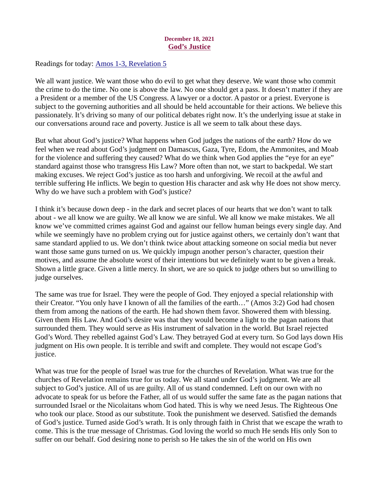# December 18, 2021 God's Justice

<span id="page-23-0"></span>Readings for today: [Amos 1-3, Revelation 5](https://www.biblegateway.com/passage/?search=Amos+1-3%2C+Revelation+5&version=ESV)

We all want justice. We want those who do evil to get what they deserve. We want those who commit the crime to do the time. No one is above the law. No one should get a pass. It doesn't matter if they are a President or a member of the US Congress. A lawyer or a doctor. A pastor or a priest. Everyone is subject to the governing authorities and all should be held accountable for their actions. We believe this passionately. It's driving so many of our political debates right now. It's the underlying issue at stake in our conversations around race and poverty. Justice is all we seem to talk about these days.

But what about God's justice? What happens when God judges the nations of the earth? How do we feel when we read about God's judgment on Damascus, Gaza, Tyre, Edom, the Ammonites, and Moab for the violence and suffering they caused? What do we think when God applies the "eye for an eye" standard against those who transgress His Law? More often than not, we start to backpedal. We start making excuses. We reject God's justice as too harsh and unforgiving. We recoil at the awful and terrible suffering He inflicts. We begin to question His character and ask why He does not show mercy. Why do we have such a problem with God's justice?

I think it's because down deep - in the dark and secret places of our hearts that we don't want to talk about - we all know we are guilty. We all know we are sinful. We all know we make mistakes. We all know we've committed crimes against God and against our fellow human beings every single day. And while we seemingly have no problem crying out for justice against others, we certainly don't want that same standard applied to us. We don't think twice about attacking someone on social media but never want those same guns turned on us. We quickly impugn another person's character, question their motives, and assume the absolute worst of their intentions but we definitely want to be given a break. Shown a little grace. Given a little mercy. In short, we are so quick to judge others but so unwilling to judge ourselves.

The same was true for Israel. They were the people of God. They enjoyed a special relationship with their Creator. "You only have I known of all the families of the earth…" (Amos 3:2) God had chosen them from among the nations of the earth. He had shown them favor. Showered them with blessing. Given them His Law. And God's desire was that they would become a light to the pagan nations that surrounded them. They would serve as His instrument of salvation in the world. But Israel rejected God's Word. They rebelled against God's Law. They betrayed God at every turn. So God lays down His judgment on His own people. It is terrible and swift and complete. They would not escape God's justice.

What was true for the people of Israel was true for the churches of Revelation. What was true for the churches of Revelation remains true for us today. We all stand under God's judgment. We are all subject to God's justice. All of us are guilty. All of us stand condemned. Left on our own with no advocate to speak for us before the Father, all of us would suffer the same fate as the pagan nations that surrounded Israel or the Nicolaitans whom God hated. This is why we need Jesus. The Righteous One who took our place. Stood as our substitute. Took the punishment we deserved. Satisfied the demands of God's justice. Turned aside God's wrath. It is only through faith in Christ that we escape the wrath to come. This is the true message of Christmas. God loving the world so much He sends His only Son to suffer on our behalf. God desiring none to perish so He takes the sin of the world on His own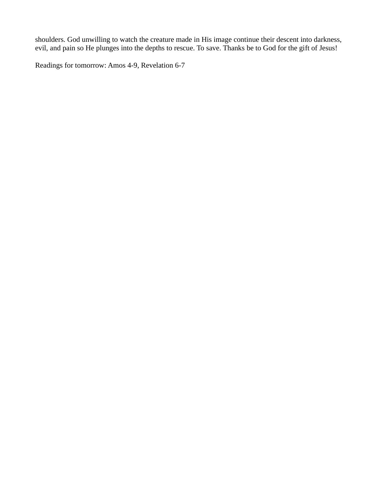shoulders. God unwilling to watch the creature made in His image continue their descent into darkness, evil, and pain so He plunges into the depths to rescue. To save. Thanks be to God for the gift of Jesus!

Readings for tomorrow: Amos 4-9, Revelation 6-7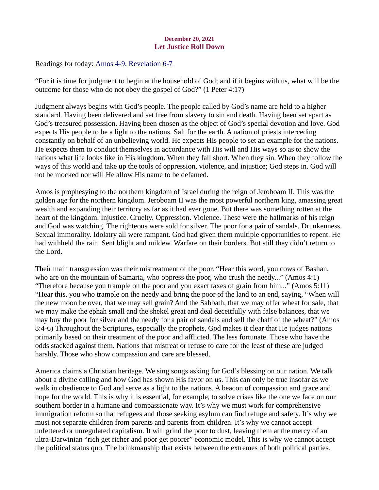# December 20, 2021 Let Justice Roll Down

<span id="page-25-0"></span>Readings for today: **Amos 4-9, Revelation 6-7** 

"For it is time for judgment to begin at the household of God; and if it begins with us, what will be the outcome for those who do not obey the gospel of God?" (1 Peter 4:17)

Judgment always begins with God's people. The people called by God's name are held to a higher standard. Having been delivered and set free from slavery to sin and death. Having been set apart as God's treasured possession. Having been chosen as the object of God's special devotion and love. God expects His people to be a light to the nations. Salt for the earth. A nation of priests interceding constantly on behalf of an unbelieving world. He expects His people to set an example for the nations. He expects them to conduct themselves in accordance with His will and His ways so as to show the nations what life looks like in His kingdom. When they fall short. When they sin. When they follow the ways of this world and take up the tools of oppression, violence, and injustice; God steps in. God will not be mocked nor will He allow His name to be defamed.

Amos is prophesying to the northern kingdom of Israel during the reign of Jeroboam II. This was the golden age for the northern kingdom. Jeroboam II was the most powerful northern king, amassing great wealth and expanding their territory as far as it had ever gone. But there was something rotten at the heart of the kingdom. Injustice. Cruelty. Oppression. Violence. These were the hallmarks of his reign and God was watching. The righteous were sold for silver. The poor for a pair of sandals. Drunkenness. Sexual immorality. Idolatry all were rampant. God had given them multiple opportunities to repent. He had withheld the rain. Sent blight and mildew. Warfare on their borders. But still they didn't return to the Lord.

Their main transgression was their mistreatment of the poor. "Hear this word, you cows of Bashan, who are on the mountain of Samaria, who oppress the poor, who crush the needy..." (Amos 4:1) "Therefore because you trample on the poor and you exact taxes of grain from him..." (Amos 5:11) "Hear this, you who trample on the needy and bring the poor of the land to an end, saying, "When will the new moon be over, that we may sell grain? And the Sabbath, that we may offer wheat for sale, that we may make the ephah small and the shekel great and deal deceitfully with false balances, that we may buy the poor for silver and the needy for a pair of sandals and sell the chaff of the wheat?" (Amos 8:4-6) Throughout the Scriptures, especially the prophets, God makes it clear that He judges nations primarily based on their treatment of the poor and afflicted. The less fortunate. Those who have the odds stacked against them. Nations that mistreat or refuse to care for the least of these are judged harshly. Those who show compassion and care are blessed.

America claims a Christian heritage. We sing songs asking for God's blessing on our nation. We talk about a divine calling and how God has shown His favor on us. This can only be true insofar as we walk in obedience to God and serve as a light to the nations. A beacon of compassion and grace and hope for the world. This is why it is essential, for example, to solve crises like the one we face on our southern border in a humane and compassionate way. It's why we must work for comprehensive immigration reform so that refugees and those seeking asylum can find refuge and safety. It's why we must not separate children from parents and parents from children. It's why we cannot accept unfettered or unregulated capitalism. It will grind the poor to dust, leaving them at the mercy of an ultra-Darwinian "rich get richer and poor get poorer" economic model. This is why we cannot accept the political status quo. The brinkmanship that exists between the extremes of both political parties.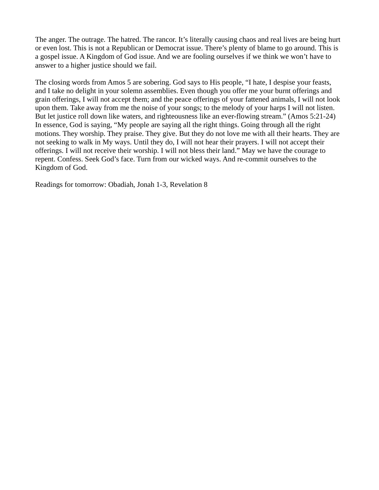The anger. The outrage. The hatred. The rancor. It's literally causing chaos and real lives are being hurt or even lost. This is not a Republican or Democrat issue. There's plenty of blame to go around. This is a gospel issue. A Kingdom of God issue. And we are fooling ourselves if we think we won't have to answer to a higher justice should we fail.

The closing words from Amos 5 are sobering. God says to His people, "I hate, I despise your feasts, and I take no delight in your solemn assemblies. Even though you offer me your burnt offerings and grain offerings, I will not accept them; and the peace offerings of your fattened animals, I will not look upon them. Take away from me the noise of your songs; to the melody of your harps I will not listen. But let justice roll down like waters, and righteousness like an ever-flowing stream." (Amos 5:21-24) In essence, God is saying, "My people are saying all the right things. Going through all the right motions. They worship. They praise. They give. But they do not love me with all their hearts. They are not seeking to walk in My ways. Until they do, I will not hear their prayers. I will not accept their offerings. I will not receive their worship. I will not bless their land." May we have the courage to repent. Confess. Seek God's face. Turn from our wicked ways. And re-commit ourselves to the Kingdom of God.

Readings for tomorrow: [Obadiah, Jonah 1-3, Revelation 8](https://www.biblegateway.com/passage/?search=Obadiah%2C+Jonah+1-3%2C+Revelation+8&version=ESV)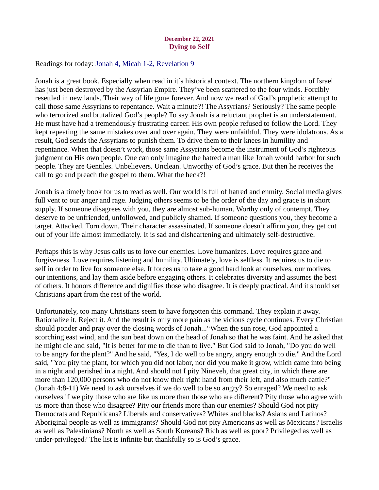# December 22, 2021 Dying to Self

<span id="page-27-0"></span>Readings for today[: Jonah 4, Micah 1-2, Revelation 9](https://www.biblegateway.com/passage/?search=Jonah+4%2C+Micah+1-2%2C+Revelation+9&version=ESV)

Jonah is a great book. Especially when read in it's historical context. The northern kingdom of Israel has just been destroyed by the Assyrian Empire. They've been scattered to the four winds. Forcibly resettled in new lands. Their way of life gone forever. And now we read of God's prophetic attempt to call those same Assyrians to repentance. Wait a minute?! The Assyrians? Seriously? The same people who terrorized and brutalized God's people? To say Jonah is a reluctant prophet is an understatement. He must have had a tremendously frustrating career. His own people refused to follow the Lord. They kept repeating the same mistakes over and over again. They were unfaithful. They were idolatrous. As a result, God sends the Assyrians to punish them. To drive them to their knees in humility and repentance. When that doesn't work, those same Assyrians become the instrument of God's righteous judgment on His own people. One can only imagine the hatred a man like Jonah would harbor for such people. They are Gentiles. Unbelievers. Unclean. Unworthy of God's grace. But then he receives the call to go and preach the gospel to them. What the heck?!

Jonah is a timely book for us to read as well. Our world is full of hatred and enmity. Social media gives full vent to our anger and rage. Judging others seems to be the order of the day and grace is in short supply. If someone disagrees with you, they are almost sub-human. Worthy only of contempt. They deserve to be unfriended, unfollowed, and publicly shamed. If someone questions you, they become a target. Attacked. Torn down. Their character assassinated. If someone doesn't affirm you, they get cut out of your life almost immediately. It is sad and disheartening and ultimately self-destructive.

Perhaps this is why Jesus calls us to love our enemies. Love humanizes. Love requires grace and forgiveness. Love requires listening and humility. Ultimately, love is selfless. It requires us to die to self in order to live for someone else. It forces us to take a good hard look at ourselves, our motives, our intentions, and lay them aside before engaging others. It celebrates diversity and assumes the best of others. It honors difference and dignifies those who disagree. It is deeply practical. And it should set Christians apart from the rest of the world.

Unfortunately, too many Christians seem to have forgotten this command. They explain it away. Rationalize it. Reject it. And the result is only more pain as the vicious cycle continues. Every Christian should ponder and pray over the closing words of Jonah..."When the sun rose, God appointed a scorching east wind, and the sun beat down on the head of Jonah so that he was faint. And he asked that he might die and said, "It is better for me to die than to live." But God said to Jonah, "Do you do well to be angry for the plant?" And he said, "Yes, I do well to be angry, angry enough to die." And the Lord said, "You pity the plant, for which you did not labor, nor did you make it grow, which came into being in a night and perished in a night. And should not I pity Nineveh, that great city, in which there are more than 120,000 persons who do not know their right hand from their left, and also much cattle?" (Jonah 4:8-11) We need to ask ourselves if we do well to be so angry? So enraged? We need to ask ourselves if we pity those who are like us more than those who are different? Pity those who agree with us more than those who disagree? Pity our friends more than our enemies? Should God not pity Democrats and Republicans? Liberals and conservatives? Whites and blacks? Asians and Latinos? Aboriginal people as well as immigrants? Should God not pity Americans as well as Mexicans? Israelis as well as Palestinians? North as well as South Koreans? Rich as well as poor? Privileged as well as under-privileged? The list is infinite but thankfully so is God's grace.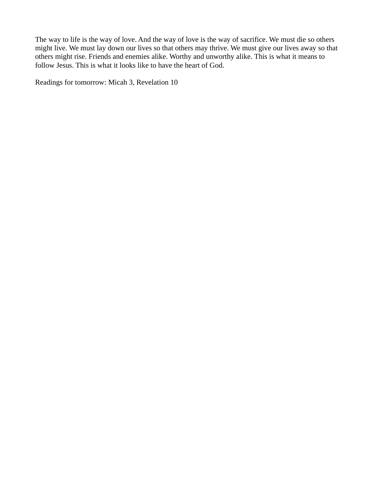The way to life is the way of love. And the way of love is the way of sacrifice. We must die so others might live. We must lay down our lives so that others may thrive. We must give our lives away so that others might rise. Friends and enemies alike. Worthy and unworthy alike. This is what it means to follow Jesus. This is what it looks like to have the heart of God.

Readings for tomorrow: Micah 3, Revelation 10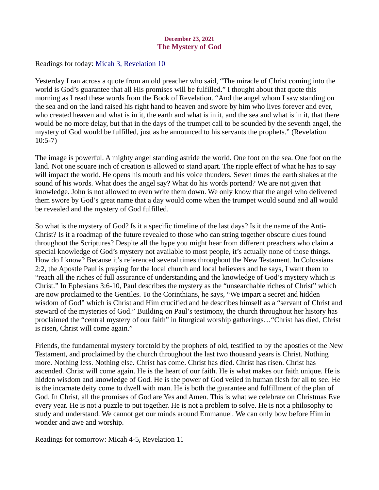# December 23, 2021 The Mystery of God

<span id="page-29-0"></span>Readings for today: [Micah 3, Revelation 10](https://www.biblegateway.com/passage/?search=Micah+3%2C+Revelation+10&version=ESV)

Yesterday I ran across a quote from an old preacher who said, "The miracle of Christ coming into the world is God's guarantee that all His promises will be fulfilled." I thought about that quote this morning as I read these words from the Book of Revelation. "And the angel whom I saw standing on the sea and on the land raised his right hand to heaven and swore by him who lives forever and ever, who created heaven and what is in it, the earth and what is in it, and the sea and what is in it, that there would be no more delay, but that in the days of the trumpet call to be sounded by the seventh angel, the mystery of God would be fulfilled, just as he announced to his servants the prophets." (Revelation 10:5-7)

The image is powerful. A mighty angel standing astride the world. One foot on the sea. One foot on the land. Not one square inch of creation is allowed to stand apart. The ripple effect of what he has to say will impact the world. He opens his mouth and his voice thunders. Seven times the earth shakes at the sound of his words. What does the angel say? What do his words portend? We are not given that knowledge. John is not allowed to even write them down. We only know that the angel who delivered them swore by God's great name that a day would come when the trumpet would sound and all would be revealed and the mystery of God fulfilled.

So what is the mystery of God? Is it a specific timeline of the last days? Is it the name of the Anti-Christ? Is it a roadmap of the future revealed to those who can string together obscure clues found throughout the Scriptures? Despite all the hype you might hear from different preachers who claim a special knowledge of God's mystery not available to most people, it's actually none of those things. How do I know? Because it's referenced several times throughout the New Testament. In Colossians 2:2, the Apostle Paul is praying for the local church and local believers and he says, I want them to "reach all the riches of full assurance of understanding and the knowledge of God's mystery which is Christ." In Ephesians 3:6-10, Paul describes the mystery as the "unsearchable riches of Christ" which are now proclaimed to the Gentiles. To the Corinthians, he says, "We impart a secret and hidden wisdom of God" which is Christ and Him crucified and he describes himself as a "servant of Christ and steward of the mysteries of God." Building on Paul's testimony, the church throughout her history has proclaimed the "central mystery of our faith" in liturgical worship gatherings…"Christ has died, Christ is risen, Christ will come again."

Friends, the fundamental mystery foretold by the prophets of old, testified to by the apostles of the New Testament, and proclaimed by the church throughout the last two thousand years is Christ. Nothing more. Nothing less. Nothing else. Christ has come. Christ has died. Christ has risen. Christ has ascended. Christ will come again. He is the heart of our faith. He is what makes our faith unique. He is hidden wisdom and knowledge of God. He is the power of God veiled in human flesh for all to see. He is the incarnate deity come to dwell with man. He is both the guarantee and fulfillment of the plan of God. In Christ, all the promises of God are Yes and Amen. This is what we celebrate on Christmas Eve every year. He is not a puzzle to put together. He is not a problem to solve. He is not a philosophy to study and understand. We cannot get our minds around Emmanuel. We can only bow before Him in wonder and awe and worship.

Readings for tomorrow: Micah 4-5, Revelation 11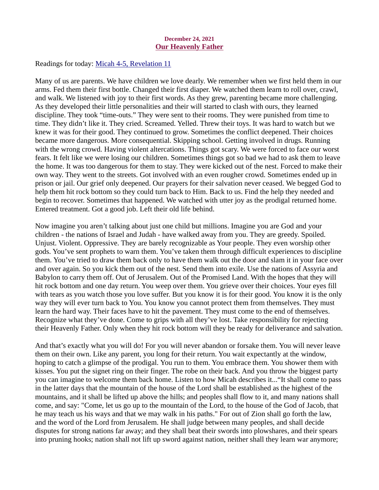#### December 24, 2021 Our Heavenly Father

<span id="page-30-0"></span>Readings for today: [Micah 4-5, Revelation 11](https://www.biblegateway.com/passage/?search=Micah+4-5%2C+Revelation+11&version=ESV)

Many of us are parents. We have children we love dearly. We remember when we first held them in our arms. Fed them their first bottle. Changed their first diaper. We watched them learn to roll over, crawl, and walk. We listened with joy to their first words. As they grew, parenting became more challenging. As they developed their little personalities and their will started to clash with ours, they learned discipline. They took "time-outs." They were sent to their rooms. They were punished from time to time. They didn't like it. They cried. Screamed. Yelled. Threw their toys. It was hard to watch but we knew it was for their good. They continued to grow. Sometimes the conflict deepened. Their choices became more dangerous. More consequential. Skipping school. Getting involved in drugs. Running with the wrong crowd. Having violent altercations. Things got scary. We were forced to face our worst fears. It felt like we were losing our children. Sometimes things got so bad we had to ask them to leave the home. It was too dangerous for them to stay. They were kicked out of the nest. Forced to make their own way. They went to the streets. Got involved with an even rougher crowd. Sometimes ended up in prison or jail. Our grief only deepened. Our prayers for their salvation never ceased. We begged God to help them hit rock bottom so they could turn back to Him. Back to us. Find the help they needed and begin to recover. Sometimes that happened. We watched with utter joy as the prodigal returned home. Entered treatment. Got a good job. Left their old life behind.

Now imagine you aren't talking about just one child but millions. Imagine you are God and your children - the nations of Israel and Judah - have walked away from you. They are greedy. Spoiled. Unjust. Violent. Oppressive. They are barely recognizable as Your people. They even worship other gods. You've sent prophets to warn them. You've taken them through difficult experiences to discipline them. You've tried to draw them back only to have them walk out the door and slam it in your face over and over again. So you kick them out of the nest. Send them into exile. Use the nations of Assyria and Babylon to carry them off. Out of Jerusalem. Out of the Promised Land. With the hopes that they will hit rock bottom and one day return. You weep over them. You grieve over their choices. Your eyes fill with tears as you watch those you love suffer. But you know it is for their good. You know it is the only way they will ever turn back to You. You know you cannot protect them from themselves. They must learn the hard way. Their faces have to hit the pavement. They must come to the end of themselves. Recognize what they've done. Come to grips with all they've lost. Take responsibility for rejecting their Heavenly Father. Only when they hit rock bottom will they be ready for deliverance and salvation.

And that's exactly what you will do! For you will never abandon or forsake them. You will never leave them on their own. Like any parent, you long for their return. You wait expectantly at the window, hoping to catch a glimpse of the prodigal. You run to them. You embrace them. You shower them with kisses. You put the signet ring on their finger. The robe on their back. And you throw the biggest party you can imagine to welcome them back home. Listen to how Micah describes it..."It shall come to pass in the latter days that the mountain of the house of the Lord shall be established as the highest of the mountains, and it shall be lifted up above the hills; and peoples shall flow to it, and many nations shall come, and say: "Come, let us go up to the mountain of the Lord, to the house of the God of Jacob, that he may teach us his ways and that we may walk in his paths." For out of Zion shall go forth the law, and the word of the Lord from Jerusalem. He shall judge between many peoples, and shall decide disputes for strong nations far away; and they shall beat their swords into plowshares, and their spears into pruning hooks; nation shall not lift up sword against nation, neither shall they learn war anymore;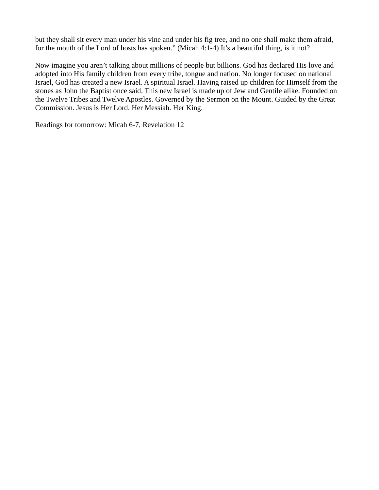but they shall sit every man under his vine and under his fig tree, and no one shall make them afraid, for the mouth of the Lord of hosts has spoken." (Micah 4:1-4) It's a beautiful thing, is it not?

Now imagine you aren't talking about millions of people but billions. God has declared His love and adopted into His family children from every tribe, tongue and nation. No longer focused on national Israel, God has created a new Israel. A spiritual Israel. Having raised up children for Himself from the stones as John the Baptist once said. This new Israel is made up of Jew and Gentile alike. Founded on the Twelve Tribes and Twelve Apostles. Governed by the Sermon on the Mount. Guided by the Great Commission. Jesus is Her Lord. Her Messiah. Her King.

Readings for tomorrow: Micah 6-7, Revelation 12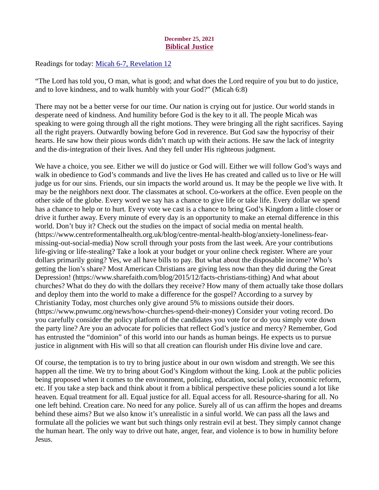# December 25, 2021 Biblical Justice

<span id="page-32-0"></span>Readings for today[: Micah 6-7, Revelation 12](https://www.biblegateway.com/passage/?search=Micah+6-7%2C+Revelation+12&version=ESV)

"The Lord has told you, O man, what is good; and what does the Lord require of you but to do justice, and to love kindness, and to walk humbly with your God?" (Micah 6:8)

There may not be a better verse for our time. Our nation is crying out for justice. Our world stands in desperate need of kindness. And humility before God is the key to it all. The people Micah was speaking to were going through all the right motions. They were bringing all the right sacrifices. Saying all the right prayers. Outwardly bowing before God in reverence. But God saw the hypocrisy of their hearts. He saw how their pious words didn't match up with their actions. He saw the lack of integrity and the dis-integration of their lives. And they fell under His righteous judgment.

We have a choice, you see. Either we will do justice or God will. Either we will follow God's ways and walk in obedience to God's commands and live the lives He has created and called us to live or He will judge us for our sins. Friends, our sin impacts the world around us. It may be the people we live with. It may be the neighbors next door. The classmates at school. Co-workers at the office. Even people on the other side of the globe. Every word we say has a chance to give life or take life. Every dollar we spend has a chance to help or to hurt. Every vote we cast is a chance to bring God's Kingdom a little closer or drive it further away. Every minute of every day is an opportunity to make an eternal difference in this world. Don't buy it? Check out the studies on the impact of social media on mental health. (https://www.centreformentalhealth.org.uk/blog/centre-mental-health-blog/anxiety-loneliness-fearmissing-out-social-media) Now scroll through your posts from the last week. Are your contributions life-giving or life-stealing? Take a look at your budget or your online check register. Where are your dollars primarily going? Yes, we all have bills to pay. But what about the disposable income? Who's getting the lion's share? Most American Christians are giving less now than they did during the Great Depression! (https://www.sharefaith.com/blog/2015/12/facts-christians-tithing) And what about churches? What do they do with the dollars they receive? How many of them actually take those dollars and deploy them into the world to make a difference for the gospel? According to a survey by Christianity Today, most churches only give around 5% to missions outside their doors. (https://www.pnwumc.org/news/how-churches-spend-their-money) Consider your voting record. Do you carefully consider the policy platform of the candidates you vote for or do you simply vote down the party line? Are you an advocate for policies that reflect God's justice and mercy? Remember, God has entrusted the "dominion" of this world into our hands as human beings. He expects us to pursue justice in alignment with His will so that all creation can flourish under His divine love and care.

Of course, the temptation is to try to bring justice about in our own wisdom and strength. We see this happen all the time. We try to bring about God's Kingdom without the king. Look at the public policies being proposed when it comes to the environment, policing, education, social policy, economic reform, etc. If you take a step back and think about it from a biblical perspective these policies sound a lot like heaven. Equal treatment for all. Equal justice for all. Equal access for all. Resource-sharing for all. No one left behind. Creation care. No need for any police. Surely all of us can affirm the hopes and dreams behind these aims? But we also know it's unrealistic in a sinful world. We can pass all the laws and formulate all the policies we want but such things only restrain evil at best. They simply cannot change the human heart. The only way to drive out hate, anger, fear, and violence is to bow in humility before Jesus.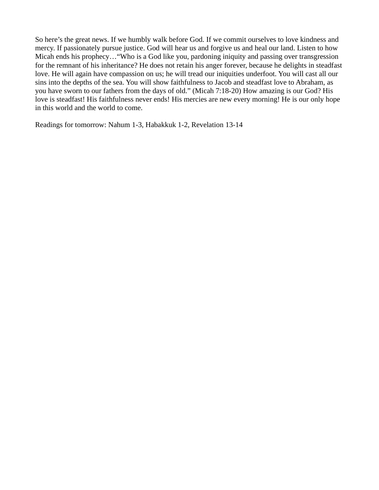So here's the great news. If we humbly walk before God. If we commit ourselves to love kindness and mercy. If passionately pursue justice. God will hear us and forgive us and heal our land. Listen to how Micah ends his prophecy…"Who is a God like you, pardoning iniquity and passing over transgression for the remnant of his inheritance? He does not retain his anger forever, because he delights in steadfast love. He will again have compassion on us; he will tread our iniquities underfoot. You will cast all our sins into the depths of the sea. You will show faithfulness to Jacob and steadfast love to Abraham, as you have sworn to our fathers from the days of old." (Micah 7:18-20) How amazing is our God? His love is steadfast! His faithfulness never ends! His mercies are new every morning! He is our only hope in this world and the world to come.

Readings for tomorrow: Nahum 1-3, Habakkuk 1-2, Revelation 13-14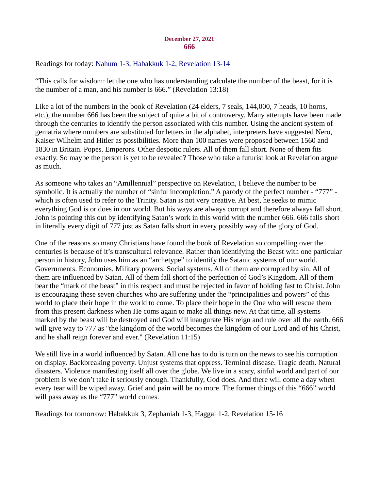#### December 27, 2021 666

<span id="page-34-0"></span>Readings for today: [Nahum 1-3, Habakkuk 1-2, Revelation 13-14](https://www.biblegateway.com/passage/?search=Nahum+1-3%2C+Habakkuk+1-2%2C+Revelation+13-14&version=ESV)

"This calls for wisdom: let the one who has understanding calculate the number of the beast, for it is the number of a man, and his number is 666." (Revelation 13:18)

Like a lot of the numbers in the book of Revelation (24 elders, 7 seals, 144,000, 7 heads, 10 horns, etc.), the number 666 has been the subject of quite a bit of controversy. Many attempts have been made through the centuries to identify the person associated with this number. Using the ancient system of gematria where numbers are substituted for letters in the alphabet, interpreters have suggested Nero, Kaiser Wilhelm and Hitler as possibilities. More than 100 names were proposed between 1560 and 1830 in Britain. Popes. Emperors. Other despotic rulers. All of them fall short. None of them fits exactly. So maybe the person is yet to be revealed? Those who take a futurist look at Revelation argue as much.

As someone who takes an "Amillennial" perspective on Revelation, I believe the number to be symbolic. It is actually the number of "sinful incompletion." A parody of the perfect number - "777" which is often used to refer to the Trinity. Satan is not very creative. At best, he seeks to mimic everything God is or does in our world. But his ways are always corrupt and therefore always fall short. John is pointing this out by identifying Satan's work in this world with the number 666. 666 falls short in literally every digit of 777 just as Satan falls short in every possibly way of the glory of God.

One of the reasons so many Christians have found the book of Revelation so compelling over the centuries is because of it's transcultural relevance. Rather than identifying the Beast with one particular person in history, John uses him as an "archetype" to identify the Satanic systems of our world. Governments. Economies. Military powers. Social systems. All of them are corrupted by sin. All of them are influenced by Satan. All of them fall short of the perfection of God's Kingdom. All of them bear the "mark of the beast" in this respect and must be rejected in favor of holding fast to Christ. John is encouraging these seven churches who are suffering under the "principalities and powers" of this world to place their hope in the world to come. To place their hope in the One who will rescue them from this present darkness when He coms again to make all things new. At that time, all systems marked by the beast will be destroyed and God will inaugurate His reign and rule over all the earth. 666 will give way to 777 as "the kingdom of the world becomes the kingdom of our Lord and of his Christ, and he shall reign forever and ever." (Revelation 11:15)

We still live in a world influenced by Satan. All one has to do is turn on the news to see his corruption on display. Backbreaking poverty. Unjust systems that oppress. Terminal disease. Tragic death. Natural disasters. Violence manifesting itself all over the globe. We live in a scary, sinful world and part of our problem is we don't take it seriously enough. Thankfully, God does. And there will come a day when every tear will be wiped away. Grief and pain will be no more. The former things of this "666" world will pass away as the "777" world comes.

Readings for tomorrow: Habakkuk 3, Zephaniah 1-3, Haggai 1-2, Revelation 15-16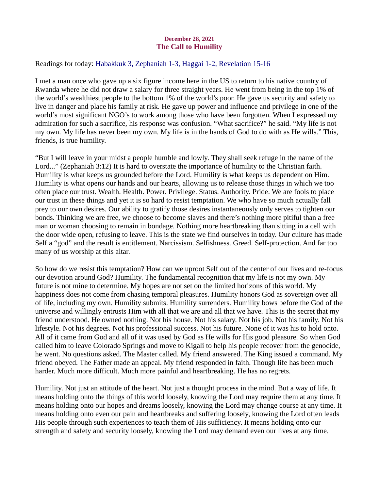# December 28, 2021 The Call to Humility

# <span id="page-35-0"></span>Readings for today: [Habakkuk 3, Zephaniah 1-3, Haggai 1-2, Revelation 15-16](https://www.biblegateway.com/passage/?search=Habakkuk+3%2C+Zephaniah+1-3%2C+Haggai+1-2%2C+Revelation+15-16&version=ESV)

I met a man once who gave up a six figure income here in the US to return to his native country of Rwanda where he did not draw a salary for three straight years. He went from being in the top 1% of the world's wealthiest people to the bottom 1% of the world's poor. He gave us security and safety to live in danger and place his family at risk. He gave up power and influence and privilege in one of the world's most significant NGO's to work among those who have been forgotten. When I expressed my admiration for such a sacrifice, his response was confusion. "What sacrifice?" he said. "My life is not my own. My life has never been my own. My life is in the hands of God to do with as He wills." This, friends, is true humility.

"But I will leave in your midst a people humble and lowly. They shall seek refuge in the name of the Lord..." (Zephaniah 3:12) It is hard to overstate the importance of humility to the Christian faith. Humility is what keeps us grounded before the Lord. Humility is what keeps us dependent on Him. Humility is what opens our hands and our hearts, allowing us to release those things in which we too often place our trust. Wealth. Health. Power. Privilege. Status. Authority. Pride. We are fools to place our trust in these things and yet it is so hard to resist temptation. We who have so much actually fall prey to our own desires. Our ability to gratify those desires instantaneously only serves to tighten our bonds. Thinking we are free, we choose to become slaves and there's nothing more pitiful than a free man or woman choosing to remain in bondage. Nothing more heartbreaking than sitting in a cell with the door wide open, refusing to leave. This is the state we find ourselves in today. Our culture has made Self a "god" and the result is entitlement. Narcissism. Selfishness. Greed. Self-protection. And far too many of us worship at this altar.

So how do we resist this temptation? How can we uproot Self out of the center of our lives and re-focus our devotion around God? Humility. The fundamental recognition that my life is not my own. My future is not mine to determine. My hopes are not set on the limited horizons of this world. My happiness does not come from chasing temporal pleasures. Humility honors God as sovereign over all of life, including my own. Humility submits. Humility surrenders. Humility bows before the God of the universe and willingly entrusts Him with all that we are and all that we have. This is the secret that my friend understood. He owned nothing. Not his house. Not his salary. Not his job. Not his family. Not his lifestyle. Not his degrees. Not his professional success. Not his future. None of it was his to hold onto. All of it came from God and all of it was used by God as He wills for His good pleasure. So when God called him to leave Colorado Springs and move to Kigali to help his people recover from the genocide, he went. No questions asked. The Master called. My friend answered. The King issued a command. My friend obeyed. The Father made an appeal. My friend responded in faith. Though life has been much harder. Much more difficult. Much more painful and heartbreaking. He has no regrets.

Humility. Not just an attitude of the heart. Not just a thought process in the mind. But a way of life. It means holding onto the things of this world loosely, knowing the Lord may require them at any time. It means holding onto our hopes and dreams loosely, knowing the Lord may change course at any time. It means holding onto even our pain and heartbreaks and suffering loosely, knowing the Lord often leads His people through such experiences to teach them of His sufficiency. It means holding onto our strength and safety and security loosely, knowing the Lord may demand even our lives at any time.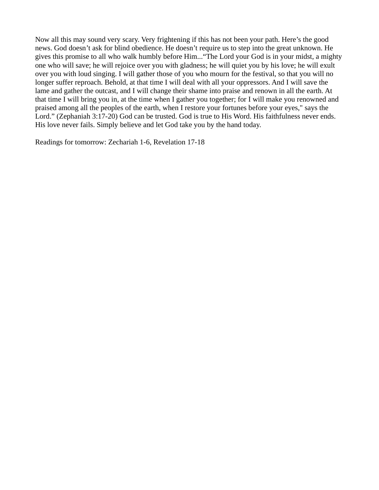Now all this may sound very scary. Very frightening if this has not been your path. Here's the good news. God doesn't ask for blind obedience. He doesn't require us to step into the great unknown. He gives this promise to all who walk humbly before Him..."The Lord your God is in your midst, a mighty one who will save; he will rejoice over you with gladness; he will quiet you by his love; he will exult over you with loud singing. I will gather those of you who mourn for the festival, so that you will no longer suffer reproach. Behold, at that time I will deal with all your oppressors. And I will save the lame and gather the outcast, and I will change their shame into praise and renown in all the earth. At that time I will bring you in, at the time when I gather you together; for I will make you renowned and praised among all the peoples of the earth, when I restore your fortunes before your eyes," says the Lord." (Zephaniah 3:17-20) God can be trusted. God is true to His Word. His faithfulness never ends. His love never fails. Simply believe and let God take you by the hand today.

Readings for tomorrow: Zechariah 1-6, Revelation 17-18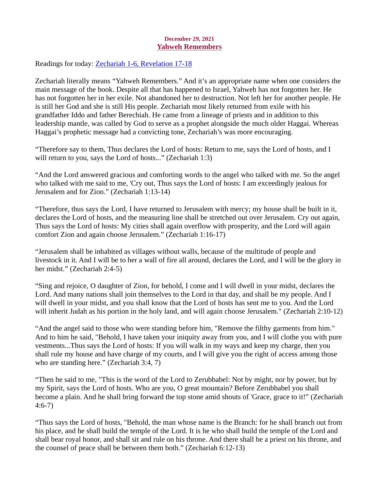## December 29, 2021 Yahweh Remembers

<span id="page-37-0"></span>Readings for today: [Zechariah 1-6, Revelation 17-18](https://www.biblegateway.com/passage/?search=Zechariah+1-6%2C+Revelation+17-18&version=ESV)

Zechariah literally means "Yahweh Remembers." And it's an appropriate name when one considers the main message of the book. Despite all that has happened to Israel, Yahweh has not forgotten her. He has not forgotten her in her exile. Not abandoned her to destruction. Not left her for another people. He is still her God and she is still His people. Zechariah most likely returned from exile with his grandfather Iddo and father Berechiah. He came from a lineage of priests and in addition to this leadership mantle, was called by God to serve as a prophet alongside the much older Haggai. Whereas Haggai's prophetic message had a convicting tone, Zechariah's was more encouraging.

"Therefore say to them, Thus declares the Lord of hosts: Return to me, says the Lord of hosts, and I will return to you, says the Lord of hosts..." (Zechariah 1:3)

"And the Lord answered gracious and comforting words to the angel who talked with me. So the angel who talked with me said to me, 'Cry out, Thus says the Lord of hosts: I am exceedingly jealous for Jerusalem and for Zion." (Zechariah 1:13-14)

"Therefore, thus says the Lord, I have returned to Jerusalem with mercy; my house shall be built in it, declares the Lord of hosts, and the measuring line shall be stretched out over Jerusalem. Cry out again, Thus says the Lord of hosts: My cities shall again overflow with prosperity, and the Lord will again comfort Zion and again choose Jerusalem." (Zechariah 1:16-17)

"Jerusalem shall be inhabited as villages without walls, because of the multitude of people and livestock in it. And I will be to her a wall of fire all around, declares the Lord, and I will be the glory in her midst." (Zechariah 2:4-5)

"Sing and rejoice, O daughter of Zion, for behold, I come and I will dwell in your midst, declares the Lord. And many nations shall join themselves to the Lord in that day, and shall be my people. And I will dwell in your midst, and you shall know that the Lord of hosts has sent me to you. And the Lord will inherit Judah as his portion in the holy land, and will again choose Jerusalem." (Zechariah 2:10-12)

"And the angel said to those who were standing before him, "Remove the filthy garments from him." And to him he said, "Behold, I have taken your iniquity away from you, and I will clothe you with pure vestments...Thus says the Lord of hosts: If you will walk in my ways and keep my charge, then you shall rule my house and have charge of my courts, and I will give you the right of access among those who are standing here." (Zechariah 3:4, 7)

"Then he said to me, "This is the word of the Lord to Zerubbabel: Not by might, nor by power, but by my Spirit, says the Lord of hosts. Who are you, O great mountain? Before Zerubbabel you shall become a plain. And he shall bring forward the top stone amid shouts of 'Grace, grace to it!" (Zechariah 4:6-7)

"Thus says the Lord of hosts, "Behold, the man whose name is the Branch: for he shall branch out from his place, and he shall build the temple of the Lord. It is he who shall build the temple of the Lord and shall bear royal honor, and shall sit and rule on his throne. And there shall be a priest on his throne, and the counsel of peace shall be between them both." (Zechariah 6:12-13)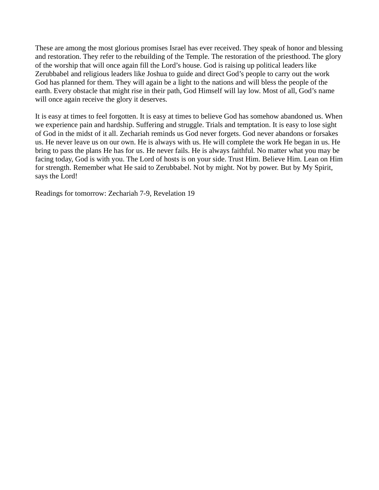These are among the most glorious promises Israel has ever received. They speak of honor and blessing and restoration. They refer to the rebuilding of the Temple. The restoration of the priesthood. The glory of the worship that will once again fill the Lord's house. God is raising up political leaders like Zerubbabel and religious leaders like Joshua to guide and direct God's people to carry out the work God has planned for them. They will again be a light to the nations and will bless the people of the earth. Every obstacle that might rise in their path, God Himself will lay low. Most of all, God's name will once again receive the glory it deserves.

It is easy at times to feel forgotten. It is easy at times to believe God has somehow abandoned us. When we experience pain and hardship. Suffering and struggle. Trials and temptation. It is easy to lose sight of God in the midst of it all. Zechariah reminds us God never forgets. God never abandons or forsakes us. He never leave us on our own. He is always with us. He will complete the work He began in us. He bring to pass the plans He has for us. He never fails. He is always faithful. No matter what you may be facing today, God is with you. The Lord of hosts is on your side. Trust Him. Believe Him. Lean on Him for strength. Remember what He said to Zerubbabel. Not by might. Not by power. But by My Spirit, says the Lord!

Readings for tomorrow: Zechariah 7-9, Revelation 19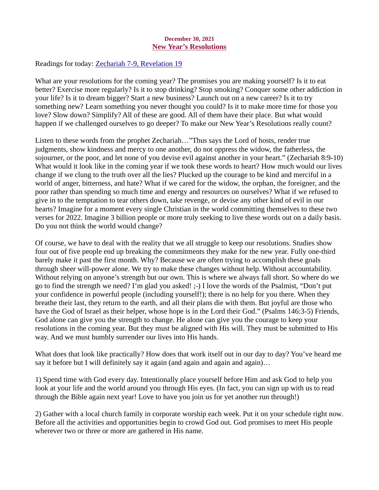# December 30, 2021 New Year's Resolutions

<span id="page-39-0"></span>Readings for today: [Zechariah 7-9, Revelation 19](https://www.biblegateway.com/passage/?search=Zechariah+7-9%2C+Revelation+19&version=ESV)

What are your resolutions for the coming year? The promises you are making yourself? Is it to eat better? Exercise more regularly? Is it to stop drinking? Stop smoking? Conquer some other addiction in your life? Is it to dream bigger? Start a new business? Launch out on a new career? Is it to try something new? Learn something you never thought you could? Is it to make more time for those you love? Slow down? Simplify? All of these are good. All of them have their place. But what would happen if we challenged ourselves to go deeper? To make our New Year's Resolutions really count?

Listen to these words from the prophet Zechariah…"Thus says the Lord of hosts, render true judgments, show kindness and mercy to one another, do not oppress the widow, the fatherless, the sojourner, or the poor, and let none of you devise evil against another in your heart." (Zechariah 8:9-10) What would it look like in the coming year if we took these words to heart? How much would our lives change if we clung to the truth over all the lies? Plucked up the courage to be kind and merciful in a world of anger, bitterness, and hate? What if we cared for the widow, the orphan, the foreigner, and the poor rather than spending so much time and energy and resources on ourselves? What if we refused to give in to the temptation to tear others down, take revenge, or devise any other kind of evil in our hearts? Imagine for a moment every single Christian in the world committing themselves to these two verses for 2022. Imagine 3 billion people or more truly seeking to live these words out on a daily basis. Do you not think the world would change?

Of course, we have to deal with the reality that we all struggle to keep our resolutions. Studies show four out of five people end up breaking the commitments they make for the new year. Fully one-third barely make it past the first month. Why? Because we are often trying to accomplish these goals through sheer will-power alone. We try to make these changes without help. Without accountability. Without relying on anyone's strength but our own. This is where we always fall short. So where do we go to find the strength we need? I'm glad you asked! ;-) I love the words of the Psalmist, "Don't put your confidence in powerful people (including yourself!); there is no help for you there. When they breathe their last, they return to the earth, and all their plans die with them. But joyful are those who have the God of Israel as their helper, whose hope is in the Lord their God." (Psalms 146:3-5) Friends, God alone can give you the strength to change. He alone can give you the courage to keep your resolutions in the coming year. But they must be aligned with His will. They must be submitted to His way. And we must humbly surrender our lives into His hands.

What does that look like practically? How does that work itself out in our day to day? You've heard me say it before but I will definitely say it again (and again and again and again)...

1) Spend time with God every day. Intentionally place yourself before Him and ask God to help you look at your life and the world around you through His eyes. (In fact, you can sign up with us to read through the Bible again next year! Love to have you join us for yet another run through!)

2) Gather with a local church family in corporate worship each week. Put it on your schedule right now. Before all the activities and opportunities begin to crowd God out. God promises to meet His people wherever two or three or more are gathered in His name.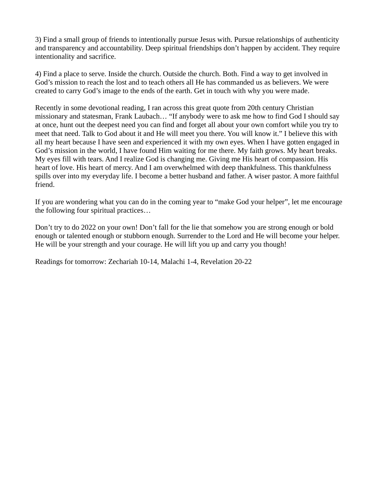3) Find a small group of friends to intentionally pursue Jesus with. Pursue relationships of authenticity and transparency and accountability. Deep spiritual friendships don't happen by accident. They require intentionality and sacrifice.

4) Find a place to serve. Inside the church. Outside the church. Both. Find a way to get involved in God's mission to reach the lost and to teach others all He has commanded us as believers. We were created to carry God's image to the ends of the earth. Get in touch with why you were made.

Recently in some devotional reading, I ran across this great quote from 20th century Christian missionary and statesman, Frank Laubach… "If anybody were to ask me how to find God I should say at once, hunt out the deepest need you can find and forget all about your own comfort while you try to meet that need. Talk to God about it and He will meet you there. You will know it." I believe this with all my heart because I have seen and experienced it with my own eyes. When I have gotten engaged in God's mission in the world, I have found Him waiting for me there. My faith grows. My heart breaks. My eyes fill with tears. And I realize God is changing me. Giving me His heart of compassion. His heart of love. His heart of mercy. And I am overwhelmed with deep thankfulness. This thankfulness spills over into my everyday life. I become a better husband and father. A wiser pastor. A more faithful friend.

If you are wondering what you can do in the coming year to "make God your helper", let me encourage the following four spiritual practices…

Don't try to do 2022 on your own! Don't fall for the lie that somehow you are strong enough or bold enough or talented enough or stubborn enough. Surrender to the Lord and He will become your helper. He will be your strength and your courage. He will lift you up and carry you though!

Readings for tomorrow: Zechariah 10-14, Malachi 1-4, Revelation 20-22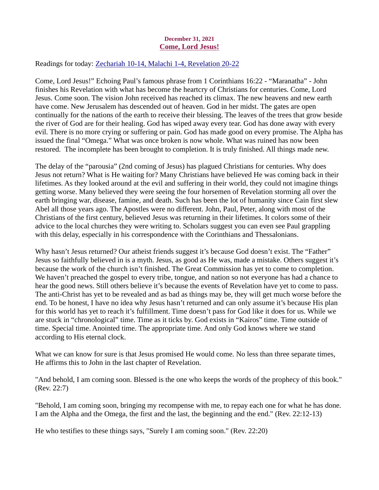# December 31, 2021 Come, Lord Jesus!

<span id="page-41-0"></span>Readings for today: [Zechariah 10-14, Malachi 1-4, Revelation 20-22](https://www.biblegateway.com/passage/?search=Zechariah+10-14%2C+Malachi+1-4%2C+Revelation+20-22&version=ESV)

Come, Lord Jesus!" Echoing Paul's famous phrase from 1 Corinthians 16:22 - "Maranatha" - John finishes his Revelation with what has become the heartcry of Christians for centuries. Come, Lord Jesus. Come soon. The vision John received has reached its climax. The new heavens and new earth have come. New Jerusalem has descended out of heaven. God in her midst. The gates are open continually for the nations of the earth to receive their blessing. The leaves of the trees that grow beside the river of God are for their healing. God has wiped away every tear. God has done away with every evil. There is no more crying or suffering or pain. God has made good on every promise. The Alpha has issued the final "Omega." What was once broken is now whole. What was ruined has now been restored. The incomplete has been brought to completion. It is truly finished. All things made new.

The delay of the "parousia" (2nd coming of Jesus) has plagued Christians for centuries. Why does Jesus not return? What is He waiting for? Many Christians have believed He was coming back in their lifetimes. As they looked around at the evil and suffering in their world, they could not imagine things getting worse. Many believed they were seeing the four horsemen of Revelation storming all over the earth bringing war, disease, famine, and death. Such has been the lot of humanity since Cain first slew Abel all those years ago. The Apostles were no different. John, Paul, Peter, along with most of the Christians of the first century, believed Jesus was returning in their lifetimes. It colors some of their advice to the local churches they were writing to. Scholars suggest you can even see Paul grappling with this delay, especially in his correspondence with the Corinthians and Thessalonians.

Why hasn't Jesus returned? Our atheist friends suggest it's because God doesn't exist. The "Father" Jesus so faithfully believed in is a myth. Jesus, as good as He was, made a mistake. Others suggest it's because the work of the church isn't finished. The Great Commission has yet to come to completion. We haven't preached the gospel to every tribe, tongue, and nation so not everyone has had a chance to hear the good news. Still others believe it's because the events of Revelation have yet to come to pass. The anti-Christ has yet to be revealed and as bad as things may be, they will get much worse before the end. To be honest, I have no idea why Jesus hasn't returned and can only assume it's because His plan for this world has yet to reach it's fulfillment. Time doesn't pass for God like it does for us. While we are stuck in "chronological" time. Time as it ticks by. God exists in "Kairos" time. Time outside of time. Special time. Anointed time. The appropriate time. And only God knows where we stand according to His eternal clock.

What we can know for sure is that Jesus promised He would come. No less than three separate times, He affirms this to John in the last chapter of Revelation.

"And behold, I am coming soon. Blessed is the one who keeps the words of the prophecy of this book." (Rev. 22:7)

"Behold, I am coming soon, bringing my recompense with me, to repay each one for what he has done. I am the Alpha and the Omega, the first and the last, the beginning and the end." (Rev. 22:12-13)

He who testifies to these things says, "Surely I am coming soon." (Rev. 22:20)